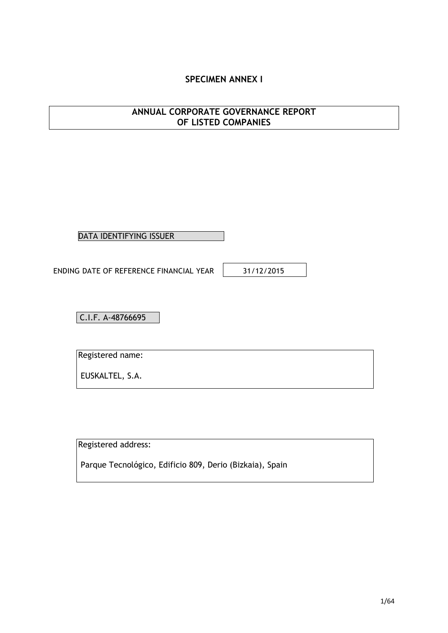# **SPECIMEN ANNEX I**

# **ANNUAL CORPORATE GOVERNANCE REPORT OF LISTED COMPANIES**

DATA IDENTIFYING ISSUER

ENDING DATE OF REFERENCE FINANCIAL YEAR | 31/12/2015

C.I.F. A-48766695

Registered name:

EUSKALTEL, S.A.

Registered address:

Parque Tecnológico, Edificio 809, Derio (Bizkaia), Spain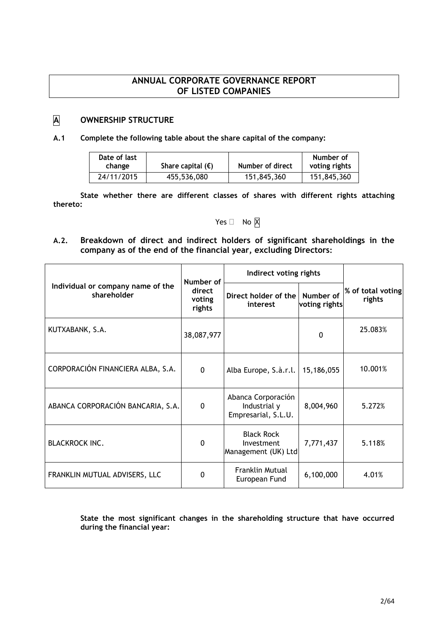# **ANNUAL CORPORATE GOVERNANCE REPORT OF LISTED COMPANIES**

# **A OWNERSHIP STRUCTURE**

### **A.1 Complete the following table about the share capital of the company:**

| Date of last<br>change | Share capital $(\epsilon)$ | Number of direct | Number of<br>voting rights |
|------------------------|----------------------------|------------------|----------------------------|
| 24/11/2015             | 455,536,080                | 151,845,360      | 151,845,360                |

**State whether there are different classes of shares with different rights attaching thereto:**

# Yes  $\Box$  No  $\overline{X}$

**A.2. Breakdown of direct and indirect holders of significant shareholdings in the company as of the end of the financial year, excluding Directors:**

|                                                  | Number of                  | Indirect voting rights                                    |                            |                             |
|--------------------------------------------------|----------------------------|-----------------------------------------------------------|----------------------------|-----------------------------|
| Individual or company name of the<br>shareholder | direct<br>voting<br>rights | Direct holder of the<br>interest                          | Number of<br>voting rights | % of total voting<br>rights |
| KUTXABANK, S.A.                                  | 38,087,977                 |                                                           | 0                          | 25.083%                     |
| CORPORACIÓN FINANCIERA ALBA, S.A.                | $\Omega$                   | Alba Europe, S.à.r.l.                                     | 15,186,055                 | 10.001%                     |
| ABANCA CORPORACIÓN BANCARIA, S.A.                | $\Omega$                   | Abanca Corporación<br>Industrial y<br>Empresarial, S.L.U. | 8,004,960                  | 5.272%                      |
| <b>BLACKROCK INC.</b>                            | $\Omega$                   | <b>Black Rock</b><br>Investment<br>Management (UK) Ltd    | 7,771,437                  | 5.118%                      |
| FRANKLIN MUTUAL ADVISERS, LLC                    | $\Omega$                   | <b>Franklin Mutual</b><br>European Fund                   | 6,100,000                  | 4.01%                       |

**State the most significant changes in the shareholding structure that have occurred during the financial year:**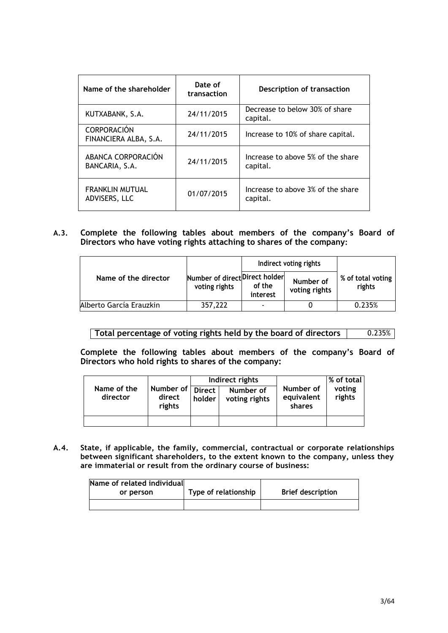| Name of the shareholder                     | Date of<br>transaction | Description of transaction                    |
|---------------------------------------------|------------------------|-----------------------------------------------|
| KUTXABANK, S.A.                             | 24/11/2015             | Decrease to below 30% of share<br>capital.    |
| <b>CORPORACIÓN</b><br>FINANCIERA ALBA, S.A. | 24/11/2015             | Increase to 10% of share capital.             |
| ABANCA CORPORACIÓN<br>BANCARIA, S.A.        | 24/11/2015             | Increase to above 5% of the share<br>capital. |
| <b>FRANKLIN MUTUAL</b><br>ADVISERS, LLC     | 01/07/2015             | Increase to above 3% of the share<br>capital. |

**A.3. Complete the following tables about members of the company's Board of Directors who have voting rights attaching to shares of the company:**

|                         |                                                 |                    | Indirect voting rights     |                             |
|-------------------------|-------------------------------------------------|--------------------|----------------------------|-----------------------------|
| Name of the director    | Number of direct Direct holder<br>voting rights | of the<br>interest | Number of<br>voting rights | % of total voting<br>rights |
| Alberto García Erauzkin | 357,222                                         |                    |                            | 0.235%                      |

**Total percentage of voting rights held by the board of directors** | 0.235%

**Complete the following tables about members of the company's Board of Directors who hold rights to shares of the company:**

|                         |                                      | Indirect rights |                            |                                   | $\vert\%$ of total $\vert$ |
|-------------------------|--------------------------------------|-----------------|----------------------------|-----------------------------------|----------------------------|
| Name of the<br>director | Number of Direct<br>direct<br>rights | holder          | Number of<br>voting rights | Number of<br>equivalent<br>shares | voting<br>rights           |
|                         |                                      |                 |                            |                                   |                            |

**A.4. State, if applicable, the family, commercial, contractual or corporate relationships between significant shareholders, to the extent known to the company, unless they are immaterial or result from the ordinary course of business:**

| Name of related individual |                      |                          |
|----------------------------|----------------------|--------------------------|
| or person                  | Type of relationship | <b>Brief description</b> |
|                            |                      |                          |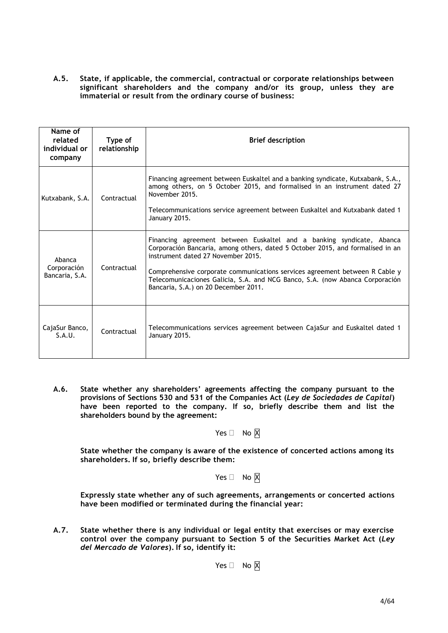**A.5. State, if applicable, the commercial, contractual or corporate relationships between significant shareholders and the company and/or its group, unless they are immaterial or result from the ordinary course of business:**

| Name of<br>related<br>individual or<br>company | Type of<br>relationship | <b>Brief description</b>                                                                                                                                                                                                                                                                                                                                                                             |
|------------------------------------------------|-------------------------|------------------------------------------------------------------------------------------------------------------------------------------------------------------------------------------------------------------------------------------------------------------------------------------------------------------------------------------------------------------------------------------------------|
| Kutxabank, S.A.                                | Contractual             | Financing agreement between Euskaltel and a banking syndicate, Kutxabank, S.A.,<br>among others, on 5 October 2015, and formalised in an instrument dated 27<br>November 2015.<br>Telecommunications service agreement between Euskaltel and Kutxabank dated 1<br>January 2015.                                                                                                                      |
| Abanca<br>Corporación<br>Bancaria, S.A.        | Contractual             | Financing agreement between Euskaltel and a banking syndicate, Abanca<br>Corporación Bancaria, among others, dated 5 October 2015, and formalised in an<br>instrument dated 27 November 2015.<br>Comprehensive corporate communications services agreement between R Cable y<br>Telecomunicaciones Galicia, S.A. and NCG Banco, S.A. (now Abanca Corporación<br>Bancaria, S.A.) on 20 December 2011. |
| CajaSur Banco,<br>S.A.U.                       | Contractual             | Telecommunications services agreement between CajaSur and Euskaltel dated 1<br>January 2015.                                                                                                                                                                                                                                                                                                         |

**A.6. State whether any shareholders' agreements affecting the company pursuant to the provisions of Sections 530 and 531 of the Companies Act (***Ley de Sociedades de Capital***) have been reported to the company. If so, briefly describe them and list the shareholders bound by the agreement:**

## Yes  $\Box$  No  $\boxtimes$

**State whether the company is aware of the existence of concerted actions among its shareholders. If so, briefly describe them:**

# Yes  $\Box$  No  $\boxtimes$

**Expressly state whether any of such agreements, arrangements or concerted actions have been modified or terminated during the financial year:**

**A.7. State whether there is any individual or legal entity that exercises or may exercise control over the company pursuant to Section 5 of the Securities Market Act (***Ley del Mercado de Valores***). If so, identify it:**

Yes  $\Box$  No  $\overline{X}$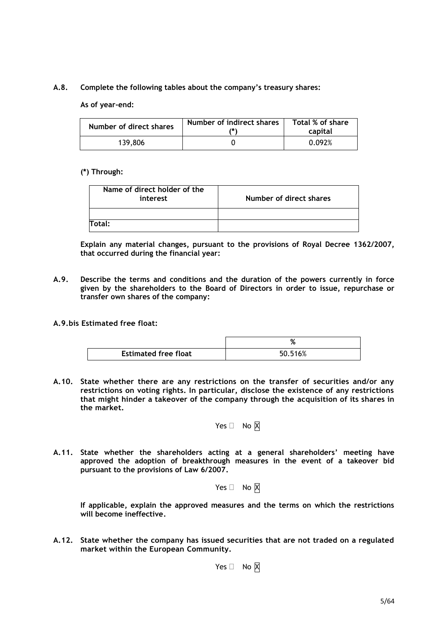### **A.8. Complete the following tables about the company's treasury shares:**

### **As of year-end:**

| Number of direct shares | Number of indirect shares<br>7*) | Total % of share<br>capital |
|-------------------------|----------------------------------|-----------------------------|
| 139,806                 |                                  | 0.092%                      |

### **(\*) Through:**

| Name of direct holder of the<br>interest | Number of direct shares |  |  |
|------------------------------------------|-------------------------|--|--|
|                                          |                         |  |  |
| Total:                                   |                         |  |  |

**Explain any material changes, pursuant to the provisions of Royal Decree 1362/2007, that occurred during the financial year:**

- **A.9. Describe the terms and conditions and the duration of the powers currently in force given by the shareholders to the Board of Directors in order to issue, repurchase or transfer own shares of the company:**
- **A.9.bis Estimated free float:**

|                             | ΛG      |
|-----------------------------|---------|
| <b>Estimated free float</b> | 50.516% |

**A.10. State whether there are any restrictions on the transfer of securities and/or any restrictions on voting rights. In particular, disclose the existence of any restrictions that might hinder a takeover of the company through the acquisition of its shares in the market.**

$$
\mathsf{Yes} \ \Box \quad \mathsf{No} \ \overline{\mathsf{X}}
$$

**A.11. State whether the shareholders acting at a general shareholders' meeting have approved the adoption of breakthrough measures in the event of a takeover bid pursuant to the provisions of Law 6/2007.**

$$
\mathsf{Yes} \ \Box \quad \mathsf{No} \ \overline{\mathsf{X}}
$$

**If applicable, explain the approved measures and the terms on which the restrictions will become ineffective.**

**A.12. State whether the company has issued securities that are not traded on a regulated market within the European Community.**

Yes  $\Box$  No  $\boxtimes$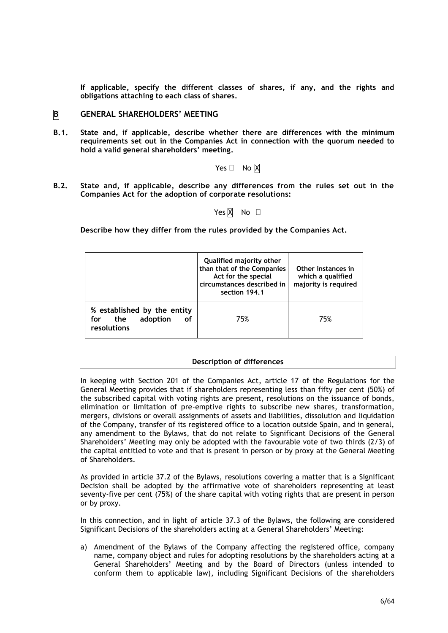**If applicable, specify the different classes of shares, if any, and the rights and obligations attaching to each class of shares.**

### **B GENERAL SHAREHOLDERS' MEETING**

**B.1. State and, if applicable, describe whether there are differences with the minimum requirements set out in the Companies Act in connection with the quorum needed to hold a valid general shareholders' meeting.**

Yes  $\Box$  No  $\overline{X}$ 

**B.2. State and, if applicable, describe any differences from the rules set out in the Companies Act for the adoption of corporate resolutions:**

Yes  $\overline{X}$  No  $\Box$ 

**Describe how they differ from the rules provided by the Companies Act.**

|                                                                            | Qualified majority other<br>than that of the Companies<br>Act for the special<br>circumstances described in<br>section 194.1 | Other instances in<br>which a qualified<br>majority is required |
|----------------------------------------------------------------------------|------------------------------------------------------------------------------------------------------------------------------|-----------------------------------------------------------------|
| % established by the entity<br>adoption<br>the<br>for<br>οf<br>resolutions | 75%                                                                                                                          | 75%                                                             |

#### **Description of differences**

In keeping with Section 201 of the Companies Act, article 17 of the Regulations for the General Meeting provides that if shareholders representing less than fifty per cent (50%) of the subscribed capital with voting rights are present, resolutions on the issuance of bonds, elimination or limitation of pre-emptive rights to subscribe new shares, transformation, mergers, divisions or overall assignments of assets and liabilities, dissolution and liquidation of the Company, transfer of its registered office to a location outside Spain, and in general, any amendment to the Bylaws, that do not relate to Significant Decisions of the General Shareholders' Meeting may only be adopted with the favourable vote of two thirds (2/3) of the capital entitled to vote and that is present in person or by proxy at the General Meeting of Shareholders.

As provided in article 37.2 of the Bylaws, resolutions covering a matter that is a Significant Decision shall be adopted by the affirmative vote of shareholders representing at least seventy-five per cent (75%) of the share capital with voting rights that are present in person or by proxy.

In this connection, and in light of article 37.3 of the Bylaws, the following are considered Significant Decisions of the shareholders acting at a General Shareholders' Meeting:

a) Amendment of the Bylaws of the Company affecting the registered office, company name, company object and rules for adopting resolutions by the shareholders acting at a General Shareholders' Meeting and by the Board of Directors (unless intended to conform them to applicable law), including Significant Decisions of the shareholders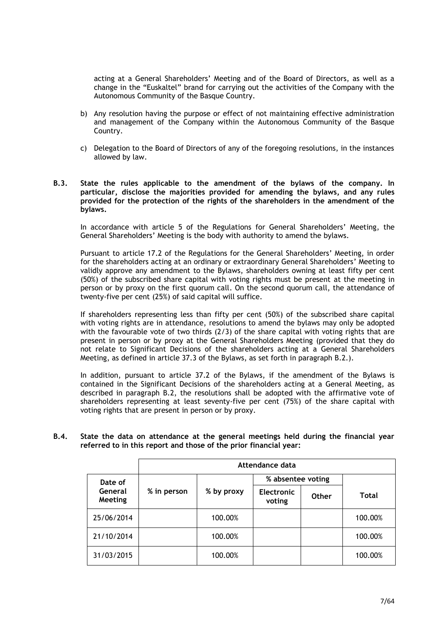acting at a General Shareholders' Meeting and of the Board of Directors, as well as a change in the "Euskaltel" brand for carrying out the activities of the Company with the Autonomous Community of the Basque Country.

- b) Any resolution having the purpose or effect of not maintaining effective administration and management of the Company within the Autonomous Community of the Basque Country.
- c) Delegation to the Board of Directors of any of the foregoing resolutions, in the instances allowed by law.
- **B.3. State the rules applicable to the amendment of the bylaws of the company. In particular, disclose the majorities provided for amending the bylaws, and any rules provided for the protection of the rights of the shareholders in the amendment of the bylaws.**

In accordance with article 5 of the Regulations for General Shareholders' Meeting, the General Shareholders' Meeting is the body with authority to amend the bylaws.

Pursuant to article 17.2 of the Regulations for the General Shareholders' Meeting, in order for the shareholders acting at an ordinary or extraordinary General Shareholders' Meeting to validly approve any amendment to the Bylaws, shareholders owning at least fifty per cent (50%) of the subscribed share capital with voting rights must be present at the meeting in person or by proxy on the first quorum call. On the second quorum call, the attendance of twenty-five per cent (25%) of said capital will suffice.

If shareholders representing less than fifty per cent (50%) of the subscribed share capital with voting rights are in attendance, resolutions to amend the bylaws may only be adopted with the favourable vote of two thirds  $(2/3)$  of the share capital with voting rights that are present in person or by proxy at the General Shareholders Meeting (provided that they do not relate to Significant Decisions of the shareholders acting at a General Shareholders Meeting, as defined in article 37.3 of the Bylaws, as set forth in paragraph B.2.).

In addition, pursuant to article 37.2 of the Bylaws, if the amendment of the Bylaws is contained in the Significant Decisions of the shareholders acting at a General Meeting, as described in paragraph B.2, the resolutions shall be adopted with the affirmative vote of shareholders representing at least seventy-five per cent (75%) of the share capital with voting rights that are present in person or by proxy.

### **B.4. State the data on attendance at the general meetings held during the financial year referred to in this report and those of the prior financial year:**

|                    | Attendance data |            |                             |              |              |
|--------------------|-----------------|------------|-----------------------------|--------------|--------------|
| Date of            |                 |            | % absentee voting           |              |              |
| General<br>Meeting | % in person     | % by proxy | <b>Electronic</b><br>voting | <b>Other</b> | <b>Total</b> |
| 25/06/2014         |                 | 100.00%    |                             |              | 100.00%      |
| 21/10/2014         |                 | 100.00%    |                             |              | 100.00%      |
| 31/03/2015         |                 | 100.00%    |                             |              | 100.00%      |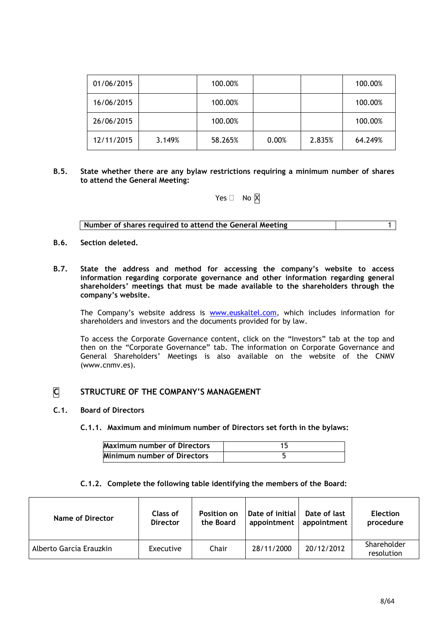| 01/06/2015 |        | 100.00% |       |        | 100.00% |
|------------|--------|---------|-------|--------|---------|
| 16/06/2015 |        | 100.00% |       |        | 100.00% |
| 26/06/2015 |        | 100.00% |       |        | 100.00% |
| 12/11/2015 | 3.149% | 58.265% | 0.00% | 2.835% | 64.249% |

**B.5. State whether there are any bylaw restrictions requiring a minimum number of shares to attend the General Meeting:**

# Yes  $\Box$  No  $\boxtimes$

| Number of shares required to attend the General Meeting |  |
|---------------------------------------------------------|--|

- **B.6. Section deleted.**
- **B.7. State the address and method for accessing the company's website to access information regarding corporate governance and other information regarding general shareholders' meetings that must be made available to the shareholders through the company's website.**

The Company's website address is **www.euskaltel.com**, which includes information for shareholders and investors and the documents provided for by law.

To access the Corporate Governance content, click on the "Investors" tab at the top and then on the "Corporate Governance" tab. The information on Corporate Governance and General Shareholders' Meetings is also available on the website of the CNMV (www.cnmv.es).

# **C STRUCTURE OF THE COMPANY'S MANAGEMENT**

#### **C.1. Board of Directors**

**C.1.1. Maximum and minimum number of Directors set forth in the bylaws:**

| <b>Maximum number of Directors</b> |  |
|------------------------------------|--|
| <b>Minimum number of Directors</b> |  |

### **C.1.2. Complete the following table identifying the members of the Board:**

| Name of Director        | Class of        | <b>Position on</b> | Date of initial | Date of last | <b>Election</b>           |
|-------------------------|-----------------|--------------------|-----------------|--------------|---------------------------|
|                         | <b>Director</b> | the Board          | appointment     | appointment  | procedure                 |
| Alberto García Erauzkin | Executive       | Chair              | 28/11/2000      | 20/12/2012   | Shareholder<br>resolution |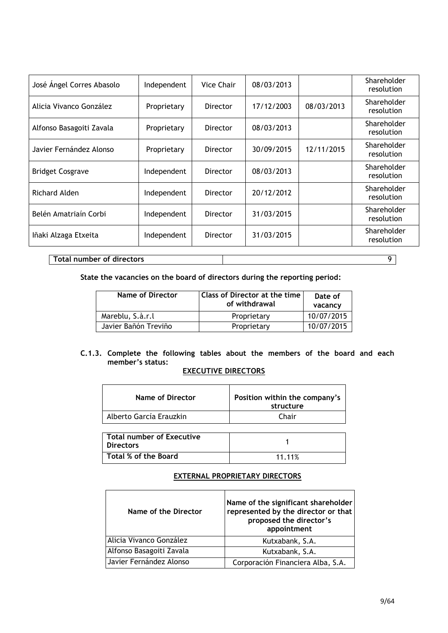| José Ángel Corres Abasolo | Independent | Vice Chair      | 08/03/2013 |            | Shareholder<br>resolution |
|---------------------------|-------------|-----------------|------------|------------|---------------------------|
| Alicia Vivanco González   | Proprietary | Director        | 17/12/2003 | 08/03/2013 | Shareholder<br>resolution |
| Alfonso Basagoiti Zavala  | Proprietary | Director        | 08/03/2013 |            | Shareholder<br>resolution |
| Javier Fernández Alonso   | Proprietary | Director        | 30/09/2015 | 12/11/2015 | Shareholder<br>resolution |
| <b>Bridget Cosgrave</b>   | Independent | <b>Director</b> | 08/03/2013 |            | Shareholder<br>resolution |
| Richard Alden             | Independent | Director        | 20/12/2012 |            | Shareholder<br>resolution |
| Belén Amatriaín Corbi     | Independent | Director        | 31/03/2015 |            | Shareholder<br>resolution |
| Iñaki Alzaga Etxeita      | Independent | Director        | 31/03/2015 |            | Shareholder<br>resolution |

**Total number of directors** 9

**State the vacancies on the board of directors during the reporting period:**

| Name of Director     | Class of Director at the time<br>of withdrawal | Date of<br>vacancy |  |
|----------------------|------------------------------------------------|--------------------|--|
| Mareblu, S.à.r.l     | Proprietary                                    | 10/07/2015         |  |
| Javier Bañón Treviño | Proprietary                                    | 10/07/2015         |  |

### **C.1.3. Complete the following tables about the members of the board and each member's status:**

## **EXECUTIVE DIRECTORS**

| Name of Director                                     | Position within the company's<br>structure |  |  |  |
|------------------------------------------------------|--------------------------------------------|--|--|--|
| Alberto García Erauzkin                              | Chair                                      |  |  |  |
|                                                      |                                            |  |  |  |
| <b>Total number of Executive</b><br><b>Directors</b> |                                            |  |  |  |

Total % of the Board 11.11%

### **EXTERNAL PROPRIETARY DIRECTORS**

| Name of the Director     | Name of the significant shareholder<br>represented by the director or that<br>proposed the director's<br>appointment |
|--------------------------|----------------------------------------------------------------------------------------------------------------------|
| Alicia Vivanco González  | Kutxabank, S.A.                                                                                                      |
| Alfonso Basagoiti Zavala | Kutxabank, S.A.                                                                                                      |
| Javier Fernández Alonso  | Corporación Financiera Alba, S.A.                                                                                    |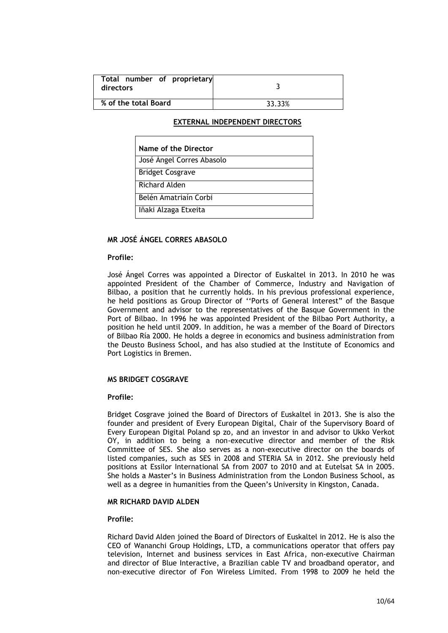| Total number of proprietary<br>directors |        |
|------------------------------------------|--------|
| % of the total Board                     | 33.33% |

## **EXTERNAL INDEPENDENT DIRECTORS**

| Name of the Director      |
|---------------------------|
| José Ángel Corres Abasolo |
| <b>Bridget Cosgrave</b>   |
| Richard Alden             |
| Belén Amatriaín Corbi     |
| Iñaki Alzaga Etxeita      |

### **MR JOSÉ ÁNGEL CORRES ABASOLO**

#### **Profile:**

José Ángel Corres was appointed a Director of Euskaltel in 2013. In 2010 he was appointed President of the Chamber of Commerce, Industry and Navigation of Bilbao, a position that he currently holds. In his previous professional experience, he held positions as Group Director of ''Ports of General Interest" of the Basque Government and advisor to the representatives of the Basque Government in the Port of Bilbao. In 1996 he was appointed President of the Bilbao Port Authority, a position he held until 2009. In addition, he was a member of the Board of Directors of Bilbao Ría 2000. He holds a degree in economics and business administration from the Deusto Business School, and has also studied at the Institute of Economics and Port Logistics in Bremen.

#### **MS BRIDGET COSGRAVE**

#### **Profile:**

Bridget Cosgrave joined the Board of Directors of Euskaltel in 2013. She is also the founder and president of Every European Digital, Chair of the Supervisory Board of Every European Digital Poland sp zo, and an investor in and advisor to Ukko Verkot OY, in addition to being a non-executive director and member of the Risk Committee of SES. She also serves as a non-executive director on the boards of listed companies, such as SES in 2008 and STERIA SA in 2012. She previously held positions at Essilor International SA from 2007 to 2010 and at Eutelsat SA in 2005. She holds a Master's in Business Administration from the London Business School, as well as a degree in humanities from the Queen's University in Kingston, Canada.

#### **MR RICHARD DAVID ALDEN**

#### **Profile:**

Richard David Alden joined the Board of Directors of Euskaltel in 2012. He is also the CEO of Wananchi Group Holdings, LTD, a communications operator that offers pay television, Internet and business services in East Africa, non-executive Chairman and director of Blue Interactive, a Brazilian cable TV and broadband operator, and non-executive director of Fon Wireless Limited. From 1998 to 2009 he held the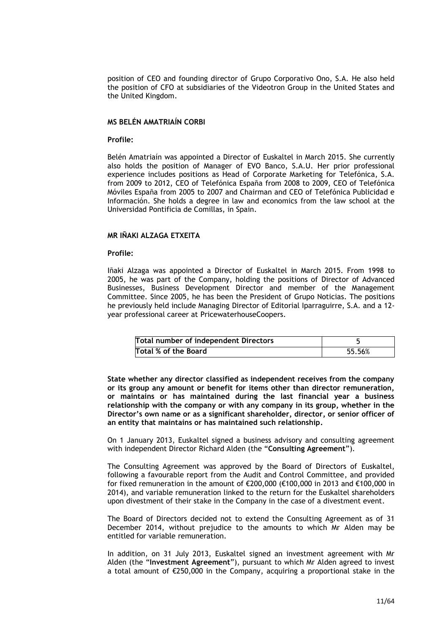position of CEO and founding director of Grupo Corporativo Ono, S.A. He also held the position of CFO at subsidiaries of the Videotron Group in the United States and the United Kingdom.

### **MS BELÉN AMATRIAÍN CORBI**

#### **Profile:**

Belén Amatriaín was appointed a Director of Euskaltel in March 2015. She currently also holds the position of Manager of EVO Banco, S.A.U. Her prior professional experience includes positions as Head of Corporate Marketing for Telefónica, S.A. from 2009 to 2012, CEO of Telefónica España from 2008 to 2009, CEO of Telefónica Móviles España from 2005 to 2007 and Chairman and CEO of Telefónica Publicidad e Información. She holds a degree in law and economics from the law school at the Universidad Pontificia de Comillas, in Spain.

### **MR IÑAKI ALZAGA ETXEITA**

### **Profile:**

Iñaki Alzaga was appointed a Director of Euskaltel in March 2015. From 1998 to 2005, he was part of the Company, holding the positions of Director of Advanced Businesses, Business Development Director and member of the Management Committee. Since 2005, he has been the President of Grupo Noticias. The positions he previously held include Managing Director of Editorial Iparraguirre, S.A. and a 12 year professional career at PricewaterhouseCoopers.

| Total number of independent Directors |        |
|---------------------------------------|--------|
| Total % of the Board                  | 55.56% |

**State whether any director classified as independent receives from the company or its group any amount or benefit for items other than director remuneration, or maintains or has maintained during the last financial year a business relationship with the company or with any company in its group, whether in the Director's own name or as a significant shareholder, director, or senior officer of an entity that maintains or has maintained such relationship.**

On 1 January 2013, Euskaltel signed a business advisory and consulting agreement with independent Director Richard Alden (the "**Consulting Agreement**").

The Consulting Agreement was approved by the Board of Directors of Euskaltel, following a favourable report from the Audit and Control Committee, and provided for fixed remuneration in the amount of €200,000 (€100,000 in 2013 and €100,000 in 2014), and variable remuneration linked to the return for the Euskaltel shareholders upon divestment of their stake in the Company in the case of a divestment event.

The Board of Directors decided not to extend the Consulting Agreement as of 31 December 2014, without prejudice to the amounts to which Mr Alden may be entitled for variable remuneration.

In addition, on 31 July 2013, Euskaltel signed an investment agreement with Mr Alden (the "**Investment Agreement**"), pursuant to which Mr Alden agreed to invest a total amount of €250,000 in the Company, acquiring a proportional stake in the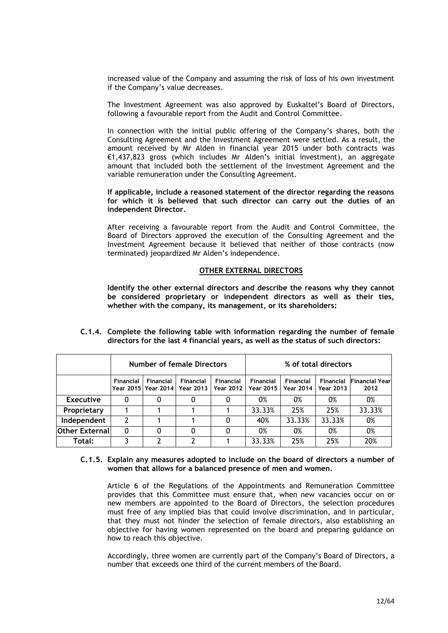increased value of the Company and assuming the risk of loss of his own investment if the Company's value decreases.

The Investment Agreement was also approved by Euskaltel's Board of Directors, following a favourable report from the Audit and Control Committee.

In connection with the initial public offering of the Company's shares, both the Consulting Agreement and the Investment Agreement were settled. As a result, the amount received by Mr Alden in financial year 2015 under both contracts was €1,437,823 gross (which includes Mr Alden's initial investment), an aggregate amount that included both the settlement of the Investment Agreement and the variable remuneration under the Consulting Agreement.

### **If applicable, include a reasoned statement of the director regarding the reasons for which it is believed that such director can carry out the duties of an independent Director.**

After receiving a favourable report from the Audit and Control Committee, the Board of Directors approved the execution of the Consulting Agreement and the Investment Agreement because it believed that neither of those contracts (now terminated) jeopardized Mr Alden's independence.

### **OTHER EXTERNAL DIRECTORS**

**Identify the other external directors and describe the reasons why they cannot be considered proprietary or independent directors as well as their ties, whether with the company, its management, or its shareholders:**

|                  | <b>Number of female Directors</b> |                                    |                                      | % of total directors   |                        |                        |                               |                               |
|------------------|-----------------------------------|------------------------------------|--------------------------------------|------------------------|------------------------|------------------------|-------------------------------|-------------------------------|
|                  | <b>Financial</b>                  | Financial<br>Year 2015   Year 2014 | <b>Financial</b><br><b>Year 2013</b> | Financial<br>Year 2012 | Financial<br>Year 2015 | Financial<br>Year 2014 | Financial<br><b>Year 2013</b> | <b>Financial Year</b><br>2012 |
| <b>Executive</b> |                                   |                                    |                                      | 0                      | 0%                     | 0%                     | 0%                            | 0%                            |
| Proprietary      |                                   |                                    |                                      |                        | 33.33%                 | 25%                    | 25%                           | 33.33%                        |
| Independent      | 2                                 |                                    |                                      | 0                      | 40%                    | 33.33%                 | 33.33%                        | 0%                            |
| Other External   | 0                                 |                                    |                                      | 0                      | 0%                     | 0%                     | 0%                            | 0%                            |
| Total:           |                                   |                                    |                                      |                        | 33.33%                 | 25%                    | 25%                           | 20%                           |

**C.1.4. Complete the following table with information regarding the number of female directors for the last 4 financial years, as well as the status of such directors:**

### **C.1.5. Explain any measures adopted to include on the board of directors a number of women that allows for a balanced presence of men and women.**

Article 6 of the Regulations of the Appointments and Remuneration Committee provides that this Committee must ensure that, when new vacancies occur on or new members are appointed to the Board of Directors, the selection procedures must free of any implied bias that could involve discrimination, and in particular, that they must not hinder the selection of female directors, also establishing an objective for having women represented on the board and preparing guidance on how to reach this objective.

Accordingly, three women are currently part of the Company's Board of Directors, a number that exceeds one third of the current members of the Board.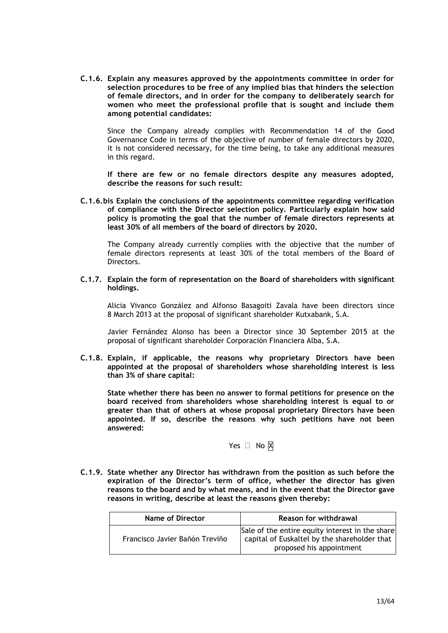**C.1.6. Explain any measures approved by the appointments committee in order for selection procedures to be free of any implied bias that hinders the selection of female directors, and in order for the company to deliberately search for women who meet the professional profile that is sought and include them among potential candidates:**

Since the Company already complies with Recommendation 14 of the Good Governance Code in terms of the objective of number of female directors by 2020, it is not considered necessary, for the time being, to take any additional measures in this regard.

**If there are few or no female directors despite any measures adopted, describe the reasons for such result:**

**C.1.6.bis Explain the conclusions of the appointments committee regarding verification of compliance with the Director selection policy. Particularly explain how said policy is promoting the goal that the number of female directors represents at least 30% of all members of the board of directors by 2020.**

The Company already currently complies with the objective that the number of female directors represents at least 30% of the total members of the Board of Directors.

### **C.1.7. Explain the form of representation on the Board of shareholders with significant holdings.**

Alicia Vivanco González and Alfonso Basagoiti Zavala have been directors since 8 March 2013 at the proposal of significant shareholder Kutxabank, S.A.

Javier Fernández Alonso has been a Director since 30 September 2015 at the proposal of significant shareholder Corporación Financiera Alba, S.A.

**C.1.8. Explain, if applicable, the reasons why proprietary Directors have been appointed at the proposal of shareholders whose shareholding interest is less than 3% of share capital:**

**State whether there has been no answer to formal petitions for presence on the board received from shareholders whose shareholding interest is equal to or greater than that of others at whose proposal proprietary Directors have been appointed. If so, describe the reasons why such petitions have not been answered:**

Yes  $\Box$  No  $\overline{X}$ 

**C.1.9. State whether any Director has withdrawn from the position as such before the expiration of the Director's term of office, whether the director has given reasons to the board and by what means, and in the event that the Director gave reasons in writing, describe at least the reasons given thereby:**

| Name of Director               | Reason for withdrawal                                                                                                       |
|--------------------------------|-----------------------------------------------------------------------------------------------------------------------------|
| Francisco Javier Bañón Treviño | Sale of the entire equity interest in the share<br>capital of Euskaltel by the shareholder that<br>proposed his appointment |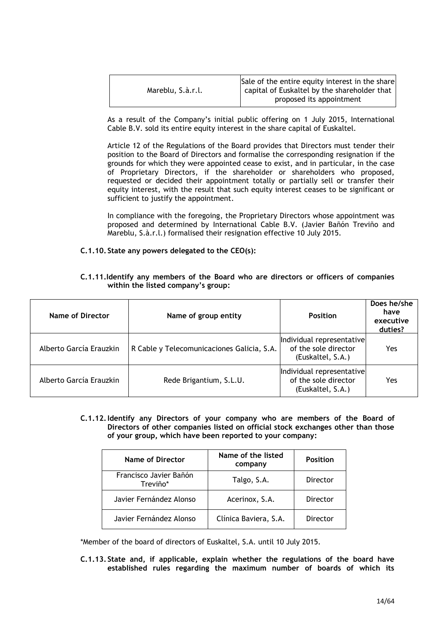|                   | Sale of the entire equity interest in the share |
|-------------------|-------------------------------------------------|
| Mareblu, S.à.r.l. | capital of Euskaltel by the shareholder that    |
|                   | proposed its appointment                        |

As a result of the Company's initial public offering on 1 July 2015, International Cable B.V. sold its entire equity interest in the share capital of Euskaltel.

Article 12 of the Regulations of the Board provides that Directors must tender their position to the Board of Directors and formalise the corresponding resignation if the grounds for which they were appointed cease to exist, and in particular, in the case of Proprietary Directors, if the shareholder or shareholders who proposed, requested or decided their appointment totally or partially sell or transfer their equity interest, with the result that such equity interest ceases to be significant or sufficient to justify the appointment.

In compliance with the foregoing, the Proprietary Directors whose appointment was proposed and determined by International Cable B.V. (Javier Bañón Treviño and Mareblu, S.à.r.l.) formalised their resignation effective 10 July 2015.

### **C.1.10. State any powers delegated to the CEO(s):**

| Name of Director        | Name of group entity                       | <b>Position</b>                                                        | Does he/she<br>have<br>executive<br>duties? |
|-------------------------|--------------------------------------------|------------------------------------------------------------------------|---------------------------------------------|
| Alberto García Erauzkin | R Cable y Telecomunicaciones Galicia, S.A. | Individual representative<br>of the sole director<br>(Euskaltel, S.A.) | Yes                                         |
| Alberto García Erauzkin | Rede Brigantium, S.L.U.                    | Individual representative<br>of the sole director<br>(Euskaltel, S.A.) | Yes                                         |

### **C.1.11.Identify any members of the Board who are directors or officers of companies within the listed company's group:**

**C.1.12.Identify any Directors of your company who are members of the Board of Directors of other companies listed on official stock exchanges other than those of your group, which have been reported to your company:**

| <b>Name of Director</b>            | Name of the listed<br>company | <b>Position</b> |
|------------------------------------|-------------------------------|-----------------|
| Francisco Javier Bañón<br>Treviño* | Talgo, S.A.                   | Director        |
| Javier Fernández Alonso            | Acerinox, S.A.                | Director        |
| Javier Fernández Alonso            | Clínica Baviera, S.A.         | Director        |

\*Member of the board of directors of Euskaltel, S.A. until 10 July 2015.

**C.1.13. State and, if applicable, explain whether the regulations of the board have established rules regarding the maximum number of boards of which its**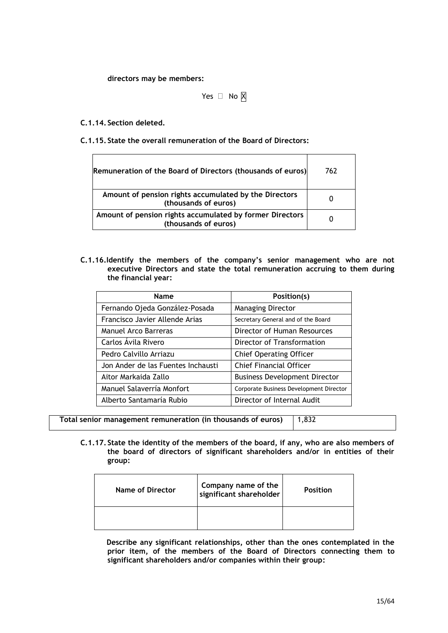**directors may be members:**

Yes  $\Box$  No  $\boxtimes$ 

**C.1.14. Section deleted.**

**C.1.15. State the overall remuneration of the Board of Directors:**

| Remuneration of the Board of Directors (thousands of euros)                      | 762 |
|----------------------------------------------------------------------------------|-----|
| Amount of pension rights accumulated by the Directors<br>(thousands of euros)    |     |
| Amount of pension rights accumulated by former Directors<br>(thousands of euros) |     |

**C.1.16.Identify the members of the company's senior management who are not executive Directors and state the total remuneration accruing to them during the financial year:**

| Name                               | Position(s)                             |
|------------------------------------|-----------------------------------------|
| Fernando Ojeda González-Posada     | <b>Managing Director</b>                |
| Francisco Javier Allende Arias     | Secretary General and of the Board      |
| Manuel Arco Barreras               | Director of Human Resources             |
| Carlos Ávila Rivero                | Director of Transformation              |
| Pedro Calvillo Arriazu             | <b>Chief Operating Officer</b>          |
| Jon Ander de las Fuentes Inchausti | <b>Chief Financial Officer</b>          |
| Aitor Markaida Zallo               | <b>Business Development Director</b>    |
| Manuel Salaverría Monfort          | Corporate Business Development Director |
| Alberto Santamaría Rubio           | Director of Internal Audit              |

**Total senior management remuneration (in thousands of euros)** 1,832

**C.1.17. State the identity of the members of the board, if any, who are also members of the board of directors of significant shareholders and/or in entities of their group:**

| Name of Director | Company name of the<br>  significant shareholder | <b>Position</b> |
|------------------|--------------------------------------------------|-----------------|
|                  |                                                  |                 |

**Describe any significant relationships, other than the ones contemplated in the prior item, of the members of the Board of Directors connecting them to significant shareholders and/or companies within their group:**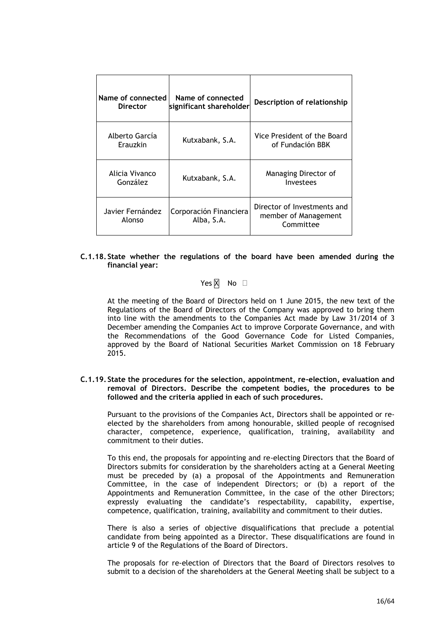| Name of connected<br><b>Director</b> | Name of connected<br>significant shareholder | Description of relationship                                      |
|--------------------------------------|----------------------------------------------|------------------------------------------------------------------|
| Alberto García<br>Erauzkin           | Kutxabank, S.A.                              | Vice President of the Board<br>of Fundación BBK                  |
| Alicia Vivanco<br>González           | Kutxabank, S.A.                              | Managing Director of<br>Investees                                |
| Javier Fernández<br>Alonso           | Corporación Financiera<br>Alba, S.A.         | Director of Investments and<br>member of Management<br>Committee |

### **C.1.18. State whether the regulations of the board have been amended during the financial year:**

Yes  $\overline{X}$  No  $\Box$ 

At the meeting of the Board of Directors held on 1 June 2015, the new text of the Regulations of the Board of Directors of the Company was approved to bring them into line with the amendments to the Companies Act made by Law 31/2014 of 3 December amending the Companies Act to improve Corporate Governance, and with the Recommendations of the Good Governance Code for Listed Companies, approved by the Board of National Securities Market Commission on 18 February 2015.

### **C.1.19. State the procedures for the selection, appointment, re-election, evaluation and removal of Directors. Describe the competent bodies, the procedures to be followed and the criteria applied in each of such procedures.**

Pursuant to the provisions of the Companies Act, Directors shall be appointed or reelected by the shareholders from among honourable, skilled people of recognised character, competence, experience, qualification, training, availability and commitment to their duties.

To this end, the proposals for appointing and re-electing Directors that the Board of Directors submits for consideration by the shareholders acting at a General Meeting must be preceded by (a) a proposal of the Appointments and Remuneration Committee, in the case of independent Directors; or (b) a report of the Appointments and Remuneration Committee, in the case of the other Directors; expressly evaluating the candidate's respectability, capability, expertise, competence, qualification, training, availability and commitment to their duties.

There is also a series of objective disqualifications that preclude a potential candidate from being appointed as a Director. These disqualifications are found in article 9 of the Regulations of the Board of Directors.

The proposals for re-election of Directors that the Board of Directors resolves to submit to a decision of the shareholders at the General Meeting shall be subject to a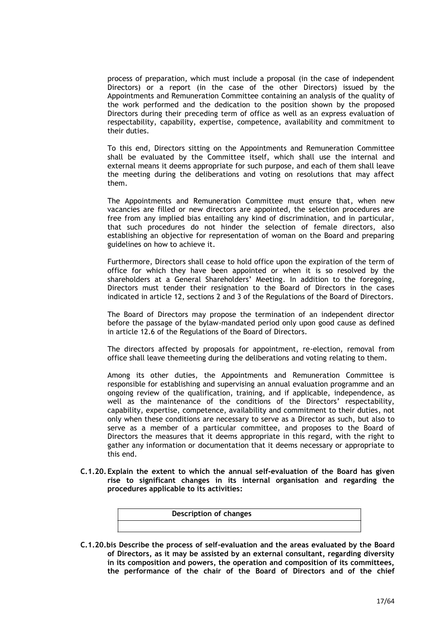process of preparation, which must include a proposal (in the case of independent Directors) or a report (in the case of the other Directors) issued by the Appointments and Remuneration Committee containing an analysis of the quality of the work performed and the dedication to the position shown by the proposed Directors during their preceding term of office as well as an express evaluation of respectability, capability, expertise, competence, availability and commitment to their duties.

To this end, Directors sitting on the Appointments and Remuneration Committee shall be evaluated by the Committee itself, which shall use the internal and external means it deems appropriate for such purpose, and each of them shall leave the meeting during the deliberations and voting on resolutions that may affect them.

The Appointments and Remuneration Committee must ensure that, when new vacancies are filled or new directors are appointed, the selection procedures are free from any implied bias entailing any kind of discrimination, and in particular, that such procedures do not hinder the selection of female directors, also establishing an objective for representation of woman on the Board and preparing guidelines on how to achieve it.

Furthermore, Directors shall cease to hold office upon the expiration of the term of office for which they have been appointed or when it is so resolved by the shareholders at a General Shareholders' Meeting. In addition to the foregoing, Directors must tender their resignation to the Board of Directors in the cases indicated in article 12, sections 2 and 3 of the Regulations of the Board of Directors.

The Board of Directors may propose the termination of an independent director before the passage of the bylaw-mandated period only upon good cause as defined in article 12.6 of the Regulations of the Board of Directors.

The directors affected by proposals for appointment, re-election, removal from office shall leave themeeting during the deliberations and voting relating to them.

Among its other duties, the Appointments and Remuneration Committee is responsible for establishing and supervising an annual evaluation programme and an ongoing review of the qualification, training, and if applicable, independence, as well as the maintenance of the conditions of the Directors' respectability, capability, expertise, competence, availability and commitment to their duties, not only when these conditions are necessary to serve as a Director as such, but also to serve as a member of a particular committee, and proposes to the Board of Directors the measures that it deems appropriate in this regard, with the right to gather any information or documentation that it deems necessary or appropriate to this end.

**C.1.20. Explain the extent to which the annual self-evaluation of the Board has given rise to significant changes in its internal organisation and regarding the procedures applicable to its activities:**



**C.1.20.bis Describe the process of self-evaluation and the areas evaluated by the Board of Directors, as it may be assisted by an external consultant, regarding diversity in its composition and powers, the operation and composition of its committees, the performance of the chair of the Board of Directors and of the chief**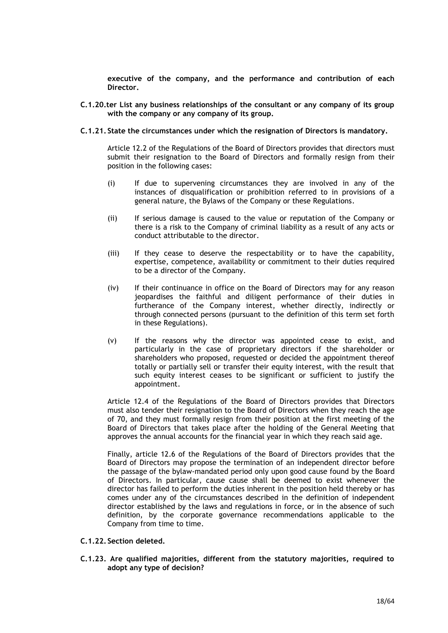**executive of the company, and the performance and contribution of each Director.**

### **C.1.20.ter List any business relationships of the consultant or any company of its group with the company or any company of its group.**

#### **C.1.21. State the circumstances under which the resignation of Directors is mandatory.**

Article 12.2 of the Regulations of the Board of Directors provides that directors must submit their resignation to the Board of Directors and formally resign from their position in the following cases:

- (i) If due to supervening circumstances they are involved in any of the instances of disqualification or prohibition referred to in provisions of a general nature, the Bylaws of the Company or these Regulations.
- (ii) If serious damage is caused to the value or reputation of the Company or there is a risk to the Company of criminal liability as a result of any acts or conduct attributable to the director.
- (iii) If they cease to deserve the respectability or to have the capability, expertise, competence, availability or commitment to their duties required to be a director of the Company.
- (iv) If their continuance in office on the Board of Directors may for any reason jeopardises the faithful and diligent performance of their duties in furtherance of the Company interest, whether directly, indirectly or through connected persons (pursuant to the definition of this term set forth in these Regulations).
- (v) If the reasons why the director was appointed cease to exist, and particularly in the case of proprietary directors if the shareholder or shareholders who proposed, requested or decided the appointment thereof totally or partially sell or transfer their equity interest, with the result that such equity interest ceases to be significant or sufficient to justify the appointment.

Article 12.4 of the Regulations of the Board of Directors provides that Directors must also tender their resignation to the Board of Directors when they reach the age of 70, and they must formally resign from their position at the first meeting of the Board of Directors that takes place after the holding of the General Meeting that approves the annual accounts for the financial year in which they reach said age.

Finally, article 12.6 of the Regulations of the Board of Directors provides that the Board of Directors may propose the termination of an independent director before the passage of the bylaw-mandated period only upon good cause found by the Board of Directors. In particular, cause cause shall be deemed to exist whenever the director has failed to perform the duties inherent in the position held thereby or has comes under any of the circumstances described in the definition of independent director established by the laws and regulations in force, or in the absence of such definition, by the corporate governance recommendations applicable to the Company from time to time.

### **C.1.22. Section deleted.**

**C.1.23. Are qualified majorities, different from the statutory majorities, required to adopt any type of decision?**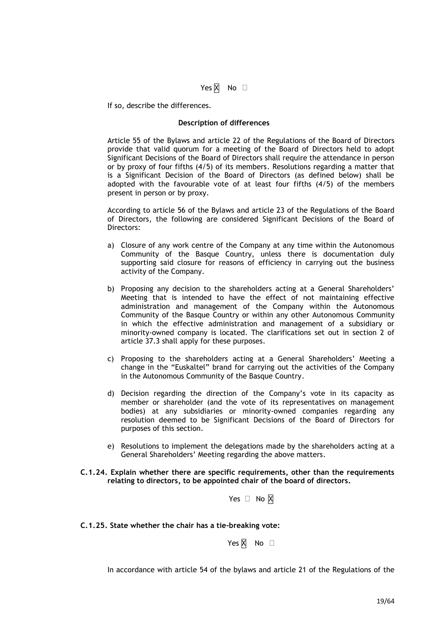### Yes  $\overline{X}$  No  $\Box$

If so, describe the differences.

#### **Description of differences**

Article 55 of the Bylaws and article 22 of the Regulations of the Board of Directors provide that valid quorum for a meeting of the Board of Directors held to adopt Significant Decisions of the Board of Directors shall require the attendance in person or by proxy of four fifths (4/5) of its members. Resolutions regarding a matter that is a Significant Decision of the Board of Directors (as defined below) shall be adopted with the favourable vote of at least four fifths (4/5) of the members present in person or by proxy.

According to article 56 of the Bylaws and article 23 of the Regulations of the Board of Directors, the following are considered Significant Decisions of the Board of Directors:

- a) Closure of any work centre of the Company at any time within the Autonomous Community of the Basque Country, unless there is documentation duly supporting said closure for reasons of efficiency in carrying out the business activity of the Company.
- b) Proposing any decision to the shareholders acting at a General Shareholders' Meeting that is intended to have the effect of not maintaining effective administration and management of the Company within the Autonomous Community of the Basque Country or within any other Autonomous Community in which the effective administration and management of a subsidiary or minority-owned company is located. The clarifications set out in section 2 of article 37.3 shall apply for these purposes.
- c) Proposing to the shareholders acting at a General Shareholders' Meeting a change in the "Euskaltel" brand for carrying out the activities of the Company in the Autonomous Community of the Basque Country.
- d) Decision regarding the direction of the Company's vote in its capacity as member or shareholder (and the vote of its representatives on management bodies) at any subsidiaries or minority-owned companies regarding any resolution deemed to be Significant Decisions of the Board of Directors for purposes of this section.
- e) Resolutions to implement the delegations made by the shareholders acting at a General Shareholders' Meeting regarding the above matters.

#### **C.1.24. Explain whether there are specific requirements, other than the requirements relating to directors, to be appointed chair of the board of directors.**

Yes  $\Box$  No  $\overline{X}$ 

#### **C.1.25. State whether the chair has a tie-breaking vote:**

Yes  $\overline{X}$  No  $\Box$ 

In accordance with article 54 of the bylaws and article 21 of the Regulations of the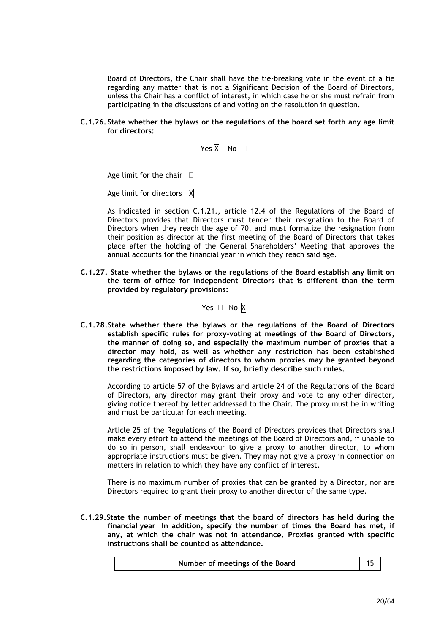Board of Directors, the Chair shall have the tie-breaking vote in the event of a tie regarding any matter that is not a Significant Decision of the Board of Directors, unless the Chair has a conflict of interest, in which case he or she must refrain from participating in the discussions of and voting on the resolution in question.

**C.1.26. State whether the bylaws or the regulations of the board set forth any age limit for directors:**

Yes  $\overline{X}$  No  $\Box$ 

Age limit for the chair  $\square$ 

Age limit for directors  $\overline{X}$ 

As indicated in section C.1.21., article 12.4 of the Regulations of the Board of Directors provides that Directors must tender their resignation to the Board of Directors when they reach the age of 70, and must formalize the resignation from their position as director at the first meeting of the Board of Directors that takes place after the holding of the General Shareholders' Meeting that approves the annual accounts for the financial year in which they reach said age.

**C.1.27. State whether the bylaws or the regulations of the Board establish any limit on the term of office for independent Directors that is different than the term provided by regulatory provisions:**

Yes  $\Box$  No  $\boxtimes$ 

**C.1.28.State whether there the bylaws or the regulations of the Board of Directors establish specific rules for proxy-voting at meetings of the Board of Directors, the manner of doing so, and especially the maximum number of proxies that a director may hold, as well as whether any restriction has been established regarding the categories of directors to whom proxies may be granted beyond the restrictions imposed by law. If so, briefly describe such rules.**

According to article 57 of the Bylaws and article 24 of the Regulations of the Board of Directors, any director may grant their proxy and vote to any other director, giving notice thereof by letter addressed to the Chair. The proxy must be in writing and must be particular for each meeting.

Article 25 of the Regulations of the Board of Directors provides that Directors shall make every effort to attend the meetings of the Board of Directors and, if unable to do so in person, shall endeavour to give a proxy to another director, to whom appropriate instructions must be given. They may not give a proxy in connection on matters in relation to which they have any conflict of interest.

There is no maximum number of proxies that can be granted by a Director, nor are Directors required to grant their proxy to another director of the same type.

**C.1.29.State the number of meetings that the board of directors has held during the financial year In addition, specify the number of times the Board has met, if any, at which the chair was not in attendance. Proxies granted with specific instructions shall be counted as attendance.**

| Number of meetings of the Board |  |  |
|---------------------------------|--|--|
|---------------------------------|--|--|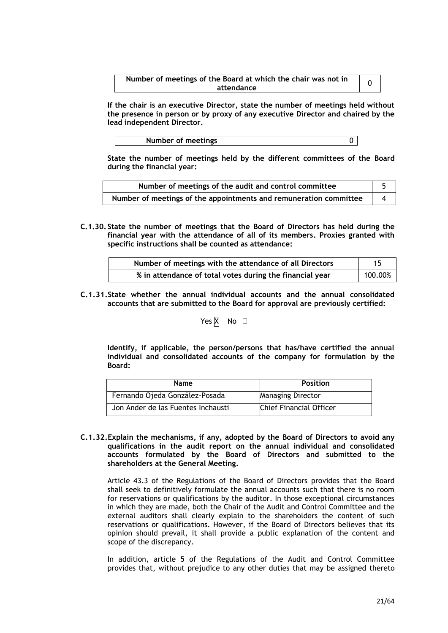| Number of meetings of the Board at which the chair was not in |  |
|---------------------------------------------------------------|--|
| attendance                                                    |  |

**If the chair is an executive Director, state the number of meetings held without the presence in person or by proxy of any executive Director and chaired by the lead independent Director.**

| Number of meetings |  |
|--------------------|--|

**State the number of meetings held by the different committees of the Board during the financial year:**

| Number of meetings of the audit and control committee             |  |
|-------------------------------------------------------------------|--|
| Number of meetings of the appointments and remuneration committee |  |

**C.1.30. State the number of meetings that the Board of Directors has held during the financial year with the attendance of all of its members. Proxies granted with specific instructions shall be counted as attendance:**

| Number of meetings with the attendance of all Directors  |         |
|----------------------------------------------------------|---------|
| % in attendance of total votes during the financial year | 100.00% |

**C.1.31.State whether the annual individual accounts and the annual consolidated accounts that are submitted to the Board for approval are previously certified:**

Yes  $\overline{X}$  No  $\Box$ 

**Identify, if applicable, the person/persons that has/have certified the annual individual and consolidated accounts of the company for formulation by the Board:**

| <b>Name</b>                        | <b>Position</b>          |
|------------------------------------|--------------------------|
| Fernando Ojeda González-Posada     | <b>Managing Director</b> |
| Jon Ander de las Fuentes Inchausti | Chief Financial Officer  |

**C.1.32.Explain the mechanisms, if any, adopted by the Board of Directors to avoid any qualifications in the audit report on the annual individual and consolidated accounts formulated by the Board of Directors and submitted to the shareholders at the General Meeting.**

Article 43.3 of the Regulations of the Board of Directors provides that the Board shall seek to definitively formulate the annual accounts such that there is no room for reservations or qualifications by the auditor. In those exceptional circumstances in which they are made, both the Chair of the Audit and Control Committee and the external auditors shall clearly explain to the shareholders the content of such reservations or qualifications. However, if the Board of Directors believes that its opinion should prevail, it shall provide a public explanation of the content and scope of the discrepancy.

In addition, article 5 of the Regulations of the Audit and Control Committee provides that, without prejudice to any other duties that may be assigned thereto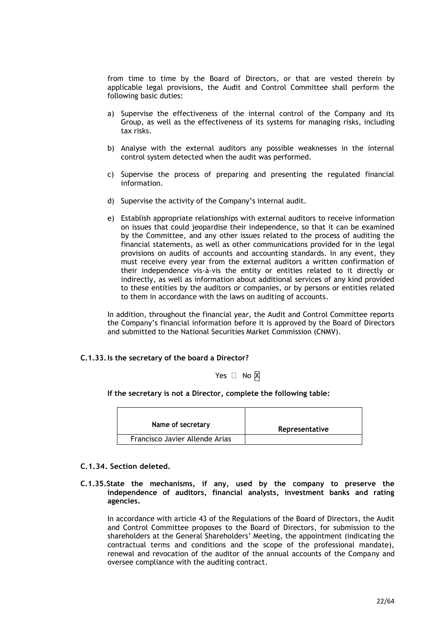from time to time by the Board of Directors, or that are vested therein by applicable legal provisions, the Audit and Control Committee shall perform the following basic duties:

- a) Supervise the effectiveness of the internal control of the Company and its Group, as well as the effectiveness of its systems for managing risks, including tax risks.
- b) Analyse with the external auditors any possible weaknesses in the internal control system detected when the audit was performed.
- c) Supervise the process of preparing and presenting the regulated financial information.
- d) Supervise the activity of the Company's internal audit.
- e) Establish appropriate relationships with external auditors to receive information on issues that could jeopardise their independence, so that it can be examined by the Committee, and any other issues related to the process of auditing the financial statements, as well as other communications provided for in the legal provisions on audits of accounts and accounting standards. In any event, they must receive every year from the external auditors a written confirmation of their independence vis-à-vis the entity or entities related to it directly or indirectly, as well as information about additional services of any kind provided to these entities by the auditors or companies, or by persons or entities related to them in accordance with the laws on auditing of accounts.

In addition, throughout the financial year, the Audit and Control Committee reports the Company's financial information before it is approved by the Board of Directors and submitted to the National Securities Market Commission (CNMV).

### **C.1.33.Is the secretary of the board a Director?**

Yes  $\Box$  No  $\boxtimes$ 

**If the secretary is not a Director, complete the following table:**

| Name of secretary              | Representative |
|--------------------------------|----------------|
| Francisco Javier Allende Arias |                |

### **C.1.34. Section deleted.**

**C.1.35.State the mechanisms, if any, used by the company to preserve the independence of auditors, financial analysts, investment banks and rating agencies.**

In accordance with article 43 of the Regulations of the Board of Directors, the Audit and Control Committee proposes to the Board of Directors, for submission to the shareholders at the General Shareholders' Meeting, the appointment (indicating the contractual terms and conditions and the scope of the professional mandate), renewal and revocation of the auditor of the annual accounts of the Company and oversee compliance with the auditing contract.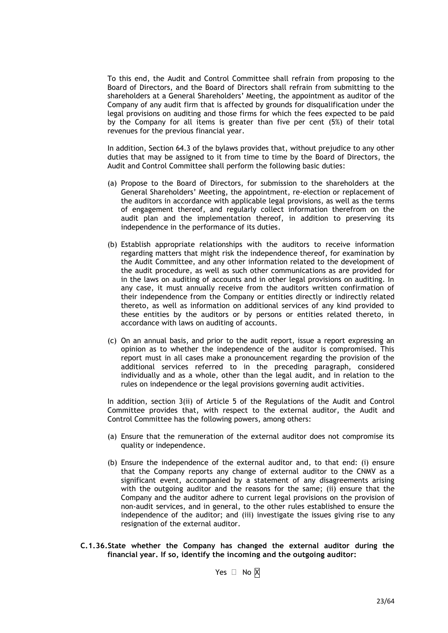To this end, the Audit and Control Committee shall refrain from proposing to the Board of Directors, and the Board of Directors shall refrain from submitting to the shareholders at a General Shareholders' Meeting, the appointment as auditor of the Company of any audit firm that is affected by grounds for disqualification under the legal provisions on auditing and those firms for which the fees expected to be paid by the Company for all items is greater than five per cent (5%) of their total revenues for the previous financial year.

In addition, Section 64.3 of the bylaws provides that, without prejudice to any other duties that may be assigned to it from time to time by the Board of Directors, the Audit and Control Committee shall perform the following basic duties:

- (a) Propose to the Board of Directors, for submission to the shareholders at the General Shareholders' Meeting, the appointment, re-election or replacement of the auditors in accordance with applicable legal provisions, as well as the terms of engagement thereof, and regularly collect information therefrom on the audit plan and the implementation thereof, in addition to preserving its independence in the performance of its duties.
- (b) Establish appropriate relationships with the auditors to receive information regarding matters that might risk the independence thereof, for examination by the Audit Committee, and any other information related to the development of the audit procedure, as well as such other communications as are provided for in the laws on auditing of accounts and in other legal provisions on auditing. In any case, it must annually receive from the auditors written confirmation of their independence from the Company or entities directly or indirectly related thereto, as well as information on additional services of any kind provided to these entities by the auditors or by persons or entities related thereto, in accordance with laws on auditing of accounts.
- (c) On an annual basis, and prior to the audit report, issue a report expressing an opinion as to whether the independence of the auditor is compromised. This report must in all cases make a pronouncement regarding the provision of the additional services referred to in the preceding paragraph, considered individually and as a whole, other than the legal audit, and in relation to the rules on independence or the legal provisions governing audit activities.

In addition, section 3(ii) of Article 5 of the Regulations of the Audit and Control Committee provides that, with respect to the external auditor, the Audit and Control Committee has the following powers, among others:

- (a) Ensure that the remuneration of the external auditor does not compromise its quality or independence.
- (b) Ensure the independence of the external auditor and, to that end: (i) ensure that the Company reports any change of external auditor to the CNMV as a significant event, accompanied by a statement of any disagreements arising with the outgoing auditor and the reasons for the same; (ii) ensure that the Company and the auditor adhere to current legal provisions on the provision of non-audit services, and in general, to the other rules established to ensure the independence of the auditor; and (iii) investigate the issues giving rise to any resignation of the external auditor.
- **C.1.36.State whether the Company has changed the external auditor during the financial year. If so, identify the incoming and the outgoing auditor:**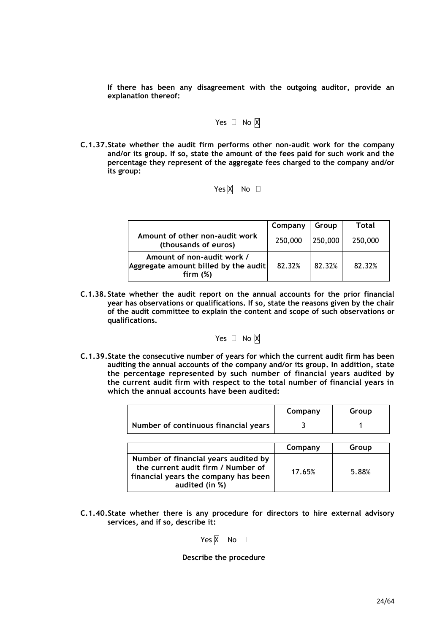**If there has been any disagreement with the outgoing auditor, provide an explanation thereof:**

Yes 
$$
\Box
$$
 No  $\overline{X}$ 

**C.1.37.State whether the audit firm performs other non-audit work for the company and/or its group. If so, state the amount of the fees paid for such work and the percentage they represent of the aggregate fees charged to the company and/or its group:**

# Yes  $\overline{X}$  No  $\Box$

|                                                                                   | Company | Group   | Total   |
|-----------------------------------------------------------------------------------|---------|---------|---------|
| Amount of other non-audit work<br>(thousands of euros)                            | 250,000 | 250,000 | 250,000 |
| Amount of non-audit work /<br>Aggregate amount billed by the audit<br>firm $(\%)$ | 82.32%  | 82.32%  | 82.32%  |

**C.1.38. State whether the audit report on the annual accounts for the prior financial year has observations or qualifications. If so, state the reasons given by the chair of the audit committee to explain the content and scope of such observations or qualifications.**

$$
\mathsf{Yes} \ \Box \ \mathsf{No} \ \overline{\mathsf{X}}
$$

**C.1.39.State the consecutive number of years for which the current audit firm has been auditing the annual accounts of the company and/or its group. In addition, state the percentage represented by such number of financial years audited by the current audit firm with respect to the total number of financial years in which the annual accounts have been audited:**

|                                      | Company | Group |
|--------------------------------------|---------|-------|
| Number of continuous financial years |         |       |
|                                      |         |       |
|                                      |         | .     |

|                                                                                                                                      | Company | Group |
|--------------------------------------------------------------------------------------------------------------------------------------|---------|-------|
| Number of financial years audited by<br>the current audit firm / Number of<br>financial years the company has been<br>audited (in %) | 17.65%  | 5.88% |

**C.1.40.State whether there is any procedure for directors to hire external advisory services, and if so, describe it:**

Yes  $\overline{X}$  No  $\Box$ 

#### **Describe the procedure**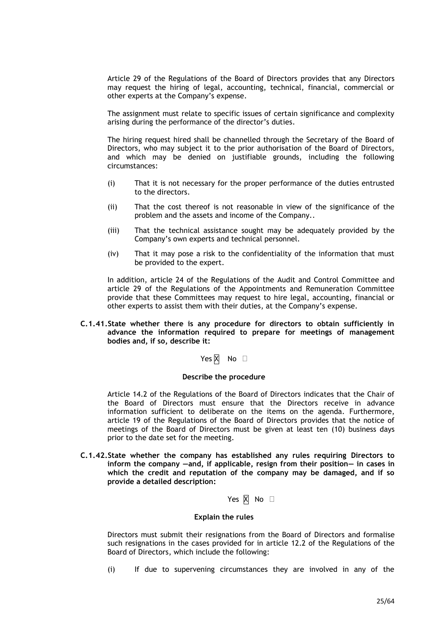Article 29 of the Regulations of the Board of Directors provides that any Directors may request the hiring of legal, accounting, technical, financial, commercial or other experts at the Company's expense.

The assignment must relate to specific issues of certain significance and complexity arising during the performance of the director's duties.

The hiring request hired shall be channelled through the Secretary of the Board of Directors, who may subject it to the prior authorisation of the Board of Directors, and which may be denied on justifiable grounds, including the following circumstances:

- (i) That it is not necessary for the proper performance of the duties entrusted to the directors.
- (ii) That the cost thereof is not reasonable in view of the significance of the problem and the assets and income of the Company..
- (iii) That the technical assistance sought may be adequately provided by the Company's own experts and technical personnel.
- (iv) That it may pose a risk to the confidentiality of the information that must be provided to the expert.

In addition, article 24 of the Regulations of the Audit and Control Committee and article 29 of the Regulations of the Appointments and Remuneration Committee provide that these Committees may request to hire legal, accounting, financial or other experts to assist them with their duties, at the Company's expense.

**C.1.41.State whether there is any procedure for directors to obtain sufficiently in advance the information required to prepare for meetings of management bodies and, if so, describe it:**

Yes  $\overline{X}$  No  $\Box$ 

#### **Describe the procedure**

Article 14.2 of the Regulations of the Board of Directors indicates that the Chair of the Board of Directors must ensure that the Directors receive in advance information sufficient to deliberate on the items on the agenda. Furthermore, article 19 of the Regulations of the Board of Directors provides that the notice of meetings of the Board of Directors must be given at least ten (10) business days prior to the date set for the meeting.

- **C.1.42.State whether the company has established any rules requiring Directors to inform the company —and, if applicable, resign from their position— in cases in which the credit and reputation of the company may be damaged, and if so provide a detailed description:**
	- Yes  $\overline{X}$  No  $\Box$

#### **Explain the rules**

Directors must submit their resignations from the Board of Directors and formalise such resignations in the cases provided for in article 12.2 of the Regulations of the Board of Directors, which include the following:

(i) If due to supervening circumstances they are involved in any of the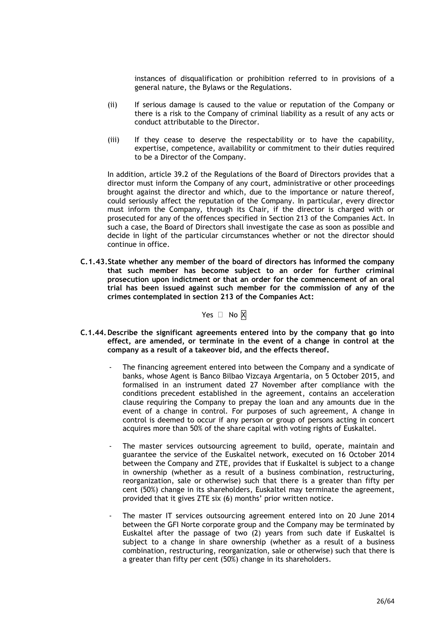instances of disqualification or prohibition referred to in provisions of a general nature, the Bylaws or the Regulations.

- (ii) If serious damage is caused to the value or reputation of the Company or there is a risk to the Company of criminal liability as a result of any acts or conduct attributable to the Director.
- (iii) If they cease to deserve the respectability or to have the capability, expertise, competence, availability or commitment to their duties required to be a Director of the Company.

In addition, article 39.2 of the Regulations of the Board of Directors provides that a director must inform the Company of any court, administrative or other proceedings brought against the director and which, due to the importance or nature thereof, could seriously affect the reputation of the Company. In particular, every director must inform the Company, through its Chair, if the director is charged with or prosecuted for any of the offences specified in Section 213 of the Companies Act. In such a case, the Board of Directors shall investigate the case as soon as possible and decide in light of the particular circumstances whether or not the director should continue in office.

**C.1.43.State whether any member of the board of directors has informed the company that such member has become subject to an order for further criminal prosecution upon indictment or that an order for the commencement of an oral trial has been issued against such member for the commission of any of the crimes contemplated in section 213 of the Companies Act:**

Yes  $\Box$  No  $\overline{X}$ 

- **C.1.44.Describe the significant agreements entered into by the company that go into effect, are amended, or terminate in the event of a change in control at the company as a result of a takeover bid, and the effects thereof.**
	- The financing agreement entered into between the Company and a syndicate of banks, whose Agent is Banco Bilbao Vizcaya Argentaria, on 5 October 2015, and formalised in an instrument dated 27 November after compliance with the conditions precedent established in the agreement, contains an acceleration clause requiring the Company to prepay the loan and any amounts due in the event of a change in control. For purposes of such agreement, A change in control is deemed to occur if any person or group of persons acting in concert acquires more than 50% of the share capital with voting rights of Euskaltel.
	- The master services outsourcing agreement to build, operate, maintain and guarantee the service of the Euskaltel network, executed on 16 October 2014 between the Company and ZTE, provides that if Euskaltel is subject to a change in ownership (whether as a result of a business combination, restructuring, reorganization, sale or otherwise) such that there is a greater than fifty per cent (50%) change in its shareholders, Euskaltel may terminate the agreement, provided that it gives ZTE six (6) months' prior written notice.
	- The master IT services outsourcing agreement entered into on 20 June 2014 between the GFI Norte corporate group and the Company may be terminated by Euskaltel after the passage of two (2) years from such date if Euskaltel is subject to a change in share ownership (whether as a result of a business combination, restructuring, reorganization, sale or otherwise) such that there is a greater than fifty per cent (50%) change in its shareholders.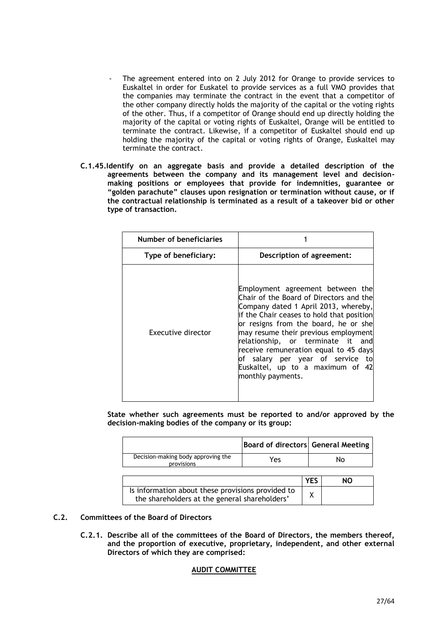- The agreement entered into on 2 July 2012 for Orange to provide services to Euskaltel in order for Euskatel to provide services as a full VMO provides that the companies may terminate the contract in the event that a competitor of the other company directly holds the majority of the capital or the voting rights of the other. Thus, if a competitor of Orange should end up directly holding the majority of the capital or voting rights of Euskaltel, Orange will be entitled to terminate the contract. Likewise, if a competitor of Euskaltel should end up holding the majority of the capital or voting rights of Orange, Euskaltel may terminate the contract.
- **C.1.45.Identify on an aggregate basis and provide a detailed description of the agreements between the company and its management level and decisionmaking positions or employees that provide for indemnities, guarantee or "golden parachute" clauses upon resignation or termination without cause, or if the contractual relationship is terminated as a result of a takeover bid or other type of transaction.**

| Number of beneficiaries |                                                                                                                                                                                                                                                                                                                                                                                                                                |
|-------------------------|--------------------------------------------------------------------------------------------------------------------------------------------------------------------------------------------------------------------------------------------------------------------------------------------------------------------------------------------------------------------------------------------------------------------------------|
| Type of beneficiary:    | Description of agreement:                                                                                                                                                                                                                                                                                                                                                                                                      |
| Executive director      | Employment agreement between the<br>Chair of the Board of Directors and the<br>Company dated 1 April 2013, whereby,<br>if the Chair ceases to hold that position<br>or resigns from the board, he or she<br>may resume their previous employment<br>relationship, or terminate it and<br>receive remuneration equal to 45 days<br>of salary per year of service to<br>Euskaltel, up to a maximum of<br>42<br>monthly payments. |

**State whether such agreements must be reported to and/or approved by the decision-making bodies of the company or its group:**

|                                                                                                    | <b>Board of directors General Meeting</b> |            |    |
|----------------------------------------------------------------------------------------------------|-------------------------------------------|------------|----|
| Decision-making body approving the<br>provisions                                                   | Yes                                       |            | No |
|                                                                                                    |                                           |            |    |
|                                                                                                    |                                           | <b>YES</b> | NΟ |
| Is information about these provisions provided to<br>the shareholders at the general shareholders' |                                           | χ          |    |

#### meeting? **C.2. Committees of the Board of Directors**

**C.2.1. Describe all of the committees of the Board of Directors, the members thereof, and the proportion of executive, proprietary, independent, and other external Directors of which they are comprised:**

### **AUDIT COMMITTEE**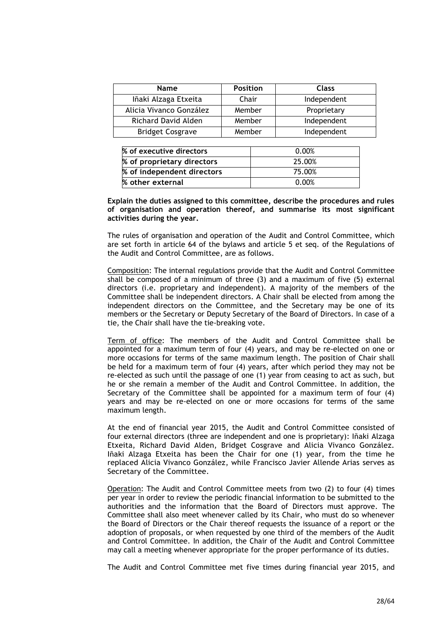| <b>Name</b>             | <b>Position</b> | <b>Class</b> |
|-------------------------|-----------------|--------------|
| Iñaki Alzaga Etxeita    | Chair           | Independent  |
| Alicia Vivanco González | Member          | Proprietary  |
| Richard David Alden     | Member          | Independent  |
| <b>Bridget Cosgrave</b> | Member          | Independent  |

| % of executive directors   | 0.00%  |
|----------------------------|--------|
| % of proprietary directors | 25.00% |
| % of independent directors | 75.00% |
| % other external           | 0.00%  |

**Explain the duties assigned to this committee, describe the procedures and rules of organisation and operation thereof, and summarise its most significant activities during the year.**

The rules of organisation and operation of the Audit and Control Committee, which are set forth in article 64 of the bylaws and article 5 et seq. of the Regulations of the Audit and Control Committee, are as follows.

Composition: The internal regulations provide that the Audit and Control Committee shall be composed of a minimum of three (3) and a maximum of five (5) external directors (i.e. proprietary and independent). A majority of the members of the Committee shall be independent directors. A Chair shall be elected from among the independent directors on the Committee, and the Secretary may be one of its members or the Secretary or Deputy Secretary of the Board of Directors. In case of a tie, the Chair shall have the tie-breaking vote.

Term of office: The members of the Audit and Control Committee shall be appointed for a maximum term of four (4) years, and may be re-elected on one or more occasions for terms of the same maximum length. The position of Chair shall be held for a maximum term of four (4) years, after which period they may not be re-elected as such until the passage of one (1) year from ceasing to act as such, but he or she remain a member of the Audit and Control Committee. In addition, the Secretary of the Committee shall be appointed for a maximum term of four (4) years and may be re-elected on one or more occasions for terms of the same maximum length.

At the end of financial year 2015, the Audit and Control Committee consisted of four external directors (three are independent and one is proprietary): Iñaki Alzaga Etxeita, Richard David Alden, Bridget Cosgrave and Alicia Vivanco González. Iñaki Alzaga Etxeita has been the Chair for one (1) year, from the time he replaced Alicia Vivanco González, while Francisco Javier Allende Arias serves as Secretary of the Committee.

Operation: The Audit and Control Committee meets from two (2) to four (4) times per year in order to review the periodic financial information to be submitted to the authorities and the information that the Board of Directors must approve. The Committee shall also meet whenever called by its Chair, who must do so whenever the Board of Directors or the Chair thereof requests the issuance of a report or the adoption of proposals, or when requested by one third of the members of the Audit and Control Committee. In addition, the Chair of the Audit and Control Committee may call a meeting whenever appropriate for the proper performance of its duties.

The Audit and Control Committee met five times during financial year 2015, and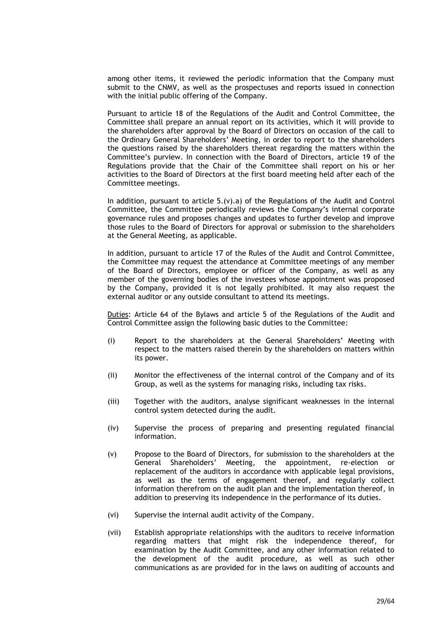among other items, it reviewed the periodic information that the Company must submit to the CNMV, as well as the prospectuses and reports issued in connection with the initial public offering of the Company.

Pursuant to article 18 of the Regulations of the Audit and Control Committee, the Committee shall prepare an annual report on its activities, which it will provide to the shareholders after approval by the Board of Directors on occasion of the call to the Ordinary General Shareholders' Meeting, in order to report to the shareholders the questions raised by the shareholders thereat regarding the matters within the Committee's purview. In connection with the Board of Directors, article 19 of the Regulations provide that the Chair of the Committee shall report on his or her activities to the Board of Directors at the first board meeting held after each of the Committee meetings.

In addition, pursuant to article  $5.(v)$ .a) of the Regulations of the Audit and Control Committee, the Committee periodically reviews the Company's internal corporate governance rules and proposes changes and updates to further develop and improve those rules to the Board of Directors for approval or submission to the shareholders at the General Meeting, as applicable.

In addition, pursuant to article 17 of the Rules of the Audit and Control Committee, the Committee may request the attendance at Committee meetings of any member of the Board of Directors, employee or officer of the Company, as well as any member of the governing bodies of the investees whose appointment was proposed by the Company, provided it is not legally prohibited. It may also request the external auditor or any outside consultant to attend its meetings.

Duties: Article 64 of the Bylaws and article 5 of the Regulations of the Audit and Control Committee assign the following basic duties to the Committee:

- (i) Report to the shareholders at the General Shareholders' Meeting with respect to the matters raised therein by the shareholders on matters within its power.
- (ii) Monitor the effectiveness of the internal control of the Company and of its Group, as well as the systems for managing risks, including tax risks.
- (iii) Together with the auditors, analyse significant weaknesses in the internal control system detected during the audit.
- (iv) Supervise the process of preparing and presenting regulated financial information.
- (v) Propose to the Board of Directors, for submission to the shareholders at the General Shareholders' Meeting, the appointment, re-election or replacement of the auditors in accordance with applicable legal provisions, as well as the terms of engagement thereof, and regularly collect information therefrom on the audit plan and the implementation thereof, in addition to preserving its independence in the performance of its duties.
- (vi) Supervise the internal audit activity of the Company.
- (vii) Establish appropriate relationships with the auditors to receive information regarding matters that might risk the independence thereof, for examination by the Audit Committee, and any other information related to the development of the audit procedure, as well as such other communications as are provided for in the laws on auditing of accounts and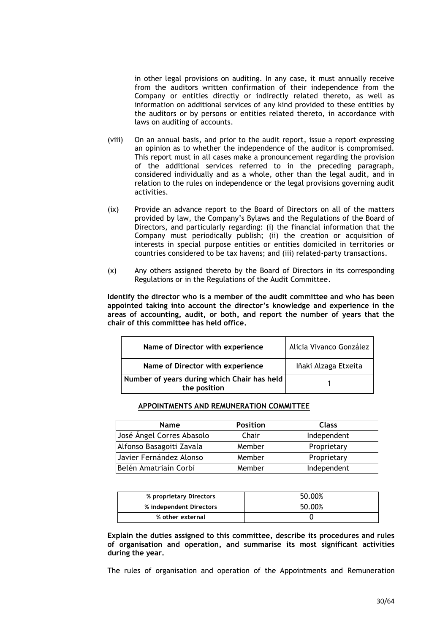in other legal provisions on auditing. In any case, it must annually receive from the auditors written confirmation of their independence from the Company or entities directly or indirectly related thereto, as well as information on additional services of any kind provided to these entities by the auditors or by persons or entities related thereto, in accordance with laws on auditing of accounts.

- (viii) On an annual basis, and prior to the audit report, issue a report expressing an opinion as to whether the independence of the auditor is compromised. This report must in all cases make a pronouncement regarding the provision of the additional services referred to in the preceding paragraph, considered individually and as a whole, other than the legal audit, and in relation to the rules on independence or the legal provisions governing audit activities.
- (ix) Provide an advance report to the Board of Directors on all of the matters provided by law, the Company's Bylaws and the Regulations of the Board of Directors, and particularly regarding: (i) the financial information that the Company must periodically publish; (ii) the creation or acquisition of interests in special purpose entities or entities domiciled in territories or countries considered to be tax havens; and (iii) related-party transactions.
- (x) Any others assigned thereto by the Board of Directors in its corresponding Regulations or in the Regulations of the Audit Committee.

**Identify the director who is a member of the audit committee and who has been appointed taking into account the director's knowledge and experience in the areas of accounting, audit, or both, and report the number of years that the chair of this committee has held office.**

| Name of Director with experience                            | Alicia Vivanco González |
|-------------------------------------------------------------|-------------------------|
| Name of Director with experience                            | Iñaki Alzaga Etxeita    |
| Number of years during which Chair has held<br>the position |                         |

#### **APPOINTMENTS AND REMUNERATION COMMITTEE**

| <b>Name</b>               | <b>Position</b> | <b>Class</b> |
|---------------------------|-----------------|--------------|
| José Ángel Corres Abasolo | Chair           | Independent  |
| Alfonso Basagoiti Zavala  | Member          | Proprietary  |
| Javier Fernández Alonso   | Member          | Proprietary  |
| Belén Amatriaín Corbi     | Member          | Independent  |

| % proprietary Directors | 50.00% |
|-------------------------|--------|
| % independent Directors | 50.00% |
| % other external        |        |

**Explain the duties assigned to this committee, describe its procedures and rules of organisation and operation, and summarise its most significant activities during the year.**

The rules of organisation and operation of the Appointments and Remuneration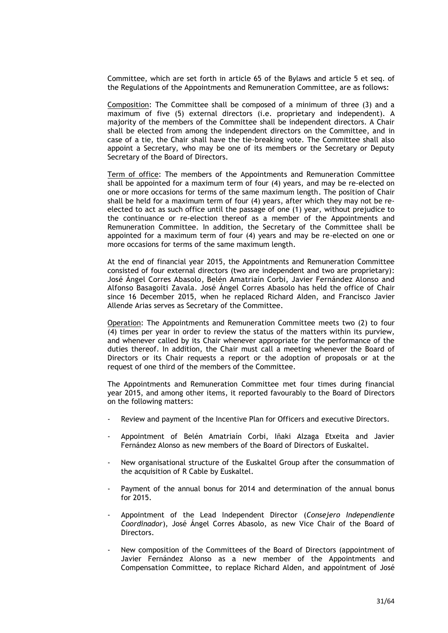Committee, which are set forth in article 65 of the Bylaws and article 5 et seq. of the Regulations of the Appointments and Remuneration Committee, are as follows:

Composition: The Committee shall be composed of a minimum of three (3) and a maximum of five (5) external directors (i.e. proprietary and independent). A majority of the members of the Committee shall be independent directors. A Chair shall be elected from among the independent directors on the Committee, and in case of a tie, the Chair shall have the tie-breaking vote. The Committee shall also appoint a Secretary, who may be one of its members or the Secretary or Deputy Secretary of the Board of Directors.

Term of office: The members of the Appointments and Remuneration Committee shall be appointed for a maximum term of four (4) years, and may be re-elected on one or more occasions for terms of the same maximum length. The position of Chair shall be held for a maximum term of four (4) years, after which they may not be reelected to act as such office until the passage of one (1) year, without prejudice to the continuance or re-election thereof as a member of the Appointments and Remuneration Committee. In addition, the Secretary of the Committee shall be appointed for a maximum term of four (4) years and may be re-elected on one or more occasions for terms of the same maximum length.

At the end of financial year 2015, the Appointments and Remuneration Committee consisted of four external directors (two are independent and two are proprietary): José Ángel Corres Abasolo, Belén Amatriaín Corbi, Javier Fernández Alonso and Alfonso Basagoiti Zavala. José Ángel Corres Abasolo has held the office of Chair since 16 December 2015, when he replaced Richard Alden, and Francisco Javier Allende Arias serves as Secretary of the Committee.

Operation: The Appointments and Remuneration Committee meets two (2) to four (4) times per year in order to review the status of the matters within its purview, and whenever called by its Chair whenever appropriate for the performance of the duties thereof. In addition, the Chair must call a meeting whenever the Board of Directors or its Chair requests a report or the adoption of proposals or at the request of one third of the members of the Committee.

The Appointments and Remuneration Committee met four times during financial year 2015, and among other items, it reported favourably to the Board of Directors on the following matters:

- Review and payment of the Incentive Plan for Officers and executive Directors.
- Appointment of Belén Amatriaín Corbi, Iñaki Alzaga Etxeita and Javier Fernández Alonso as new members of the Board of Directors of Euskaltel.
- New organisational structure of the Euskaltel Group after the consummation of the acquisition of R Cable by Euskaltel.
- Payment of the annual bonus for 2014 and determination of the annual bonus for 2015.
- Appointment of the Lead Independent Director (*Consejero Independiente Coordinador*), José Ángel Corres Abasolo, as new Vice Chair of the Board of Directors.
- New composition of the Committees of the Board of Directors (appointment of Javier Fernández Alonso as a new member of the Appointments and Compensation Committee, to replace Richard Alden, and appointment of José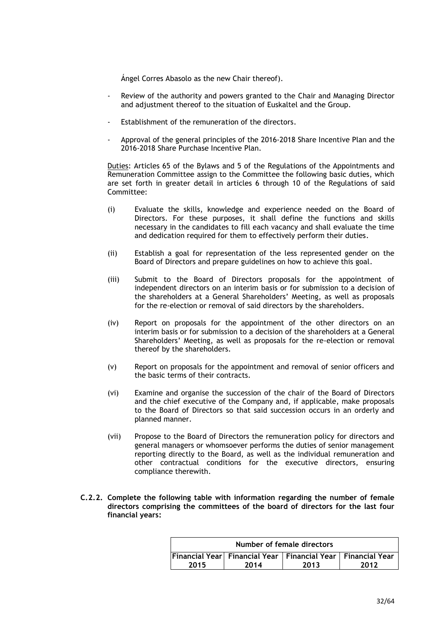Ángel Corres Abasolo as the new Chair thereof).

- Review of the authority and powers granted to the Chair and Managing Director and adjustment thereof to the situation of Euskaltel and the Group.
- Establishment of the remuneration of the directors.
- Approval of the general principles of the 2016-2018 Share Incentive Plan and the 2016-2018 Share Purchase Incentive Plan.

Duties: Articles 65 of the Bylaws and 5 of the Regulations of the Appointments and Remuneration Committee assign to the Committee the following basic duties, which are set forth in greater detail in articles 6 through 10 of the Regulations of said Committee:

- (i) Evaluate the skills, knowledge and experience needed on the Board of Directors. For these purposes, it shall define the functions and skills necessary in the candidates to fill each vacancy and shall evaluate the time and dedication required for them to effectively perform their duties.
- (ii) Establish a goal for representation of the less represented gender on the Board of Directors and prepare guidelines on how to achieve this goal.
- (iii) Submit to the Board of Directors proposals for the appointment of independent directors on an interim basis or for submission to a decision of the shareholders at a General Shareholders' Meeting, as well as proposals for the re-election or removal of said directors by the shareholders.
- (iv) Report on proposals for the appointment of the other directors on an interim basis or for submission to a decision of the shareholders at a General Shareholders' Meeting, as well as proposals for the re-election or removal thereof by the shareholders.
- (v) Report on proposals for the appointment and removal of senior officers and the basic terms of their contracts.
- (vi) Examine and organise the succession of the chair of the Board of Directors and the chief executive of the Company and, if applicable, make proposals to the Board of Directors so that said succession occurs in an orderly and planned manner.
- (vii) Propose to the Board of Directors the remuneration policy for directors and general managers or whomsoever performs the duties of senior management reporting directly to the Board, as well as the individual remuneration and other contractual conditions for the executive directors, ensuring compliance therewith.
- **C.2.2. Complete the following table with information regarding the number of female directors comprising the committees of the board of directors for the last four financial years:**

| Number of female directors                                      |  |  |  |  |  |
|-----------------------------------------------------------------|--|--|--|--|--|
| Financial Year Financial Year   Financial Year   Financial Year |  |  |  |  |  |
| 2013<br>2014<br>2015<br>2012                                    |  |  |  |  |  |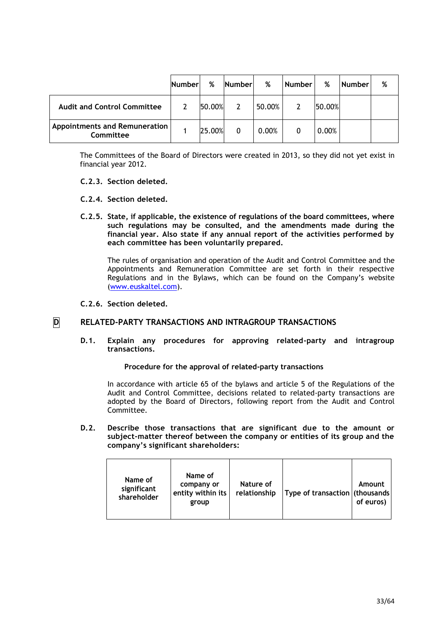|                                                   | <b>Number</b> | %      | <b>Number</b> | %      | <b>Number</b> | %      | <b>Number</b> | % |
|---------------------------------------------------|---------------|--------|---------------|--------|---------------|--------|---------------|---|
| <b>Audit and Control Committee</b>                |               | 50.00% |               | 50.00% |               | 50.00% |               |   |
| <b>Appointments and Remuneration</b><br>Committee |               | 25.00% |               | 0.00%  |               | 0.00%  |               |   |

The Committees of the Board of Directors were created in 2013, so they did not yet exist in financial year 2012.

### **C.2.3. Section deleted.**

- **C.2.4. Section deleted.**
- **C.2.5. State, if applicable, the existence of regulations of the board committees, where such regulations may be consulted, and the amendments made during the financial year. Also state if any annual report of the activities performed by each committee has been voluntarily prepared.**

The rules of organisation and operation of the Audit and Control Committee and the Appointments and Remuneration Committee are set forth in their respective Regulations and in the Bylaws, which can be found on the Company's website [\(www.euskaltel.com\)](http://www.euskaltel.com/).

**C.2.6. Section deleted.**

## **D RELATED-PARTY TRANSACTIONS AND INTRAGROUP TRANSACTIONS**

**D.1. Explain any procedures for approving related-party and intragroup transactions.**

#### **Procedure for the approval of related-party transactions**

In accordance with article 65 of the bylaws and article 5 of the Regulations of the Audit and Control Committee, decisions related to related-party transactions are adopted by the Board of Directors, following report from the Audit and Control Committee.

**D.2. Describe those transactions that are significant due to the amount or subject-matter thereof between the company or entities of its group and the company's significant shareholders:**

| Name of<br>significant<br>shareholder | Name of<br>company or<br>entity within its<br>group | Nature of<br>relationship | Type of transaction (thousands) | Amount<br>of euros) |
|---------------------------------------|-----------------------------------------------------|---------------------------|---------------------------------|---------------------|
|---------------------------------------|-----------------------------------------------------|---------------------------|---------------------------------|---------------------|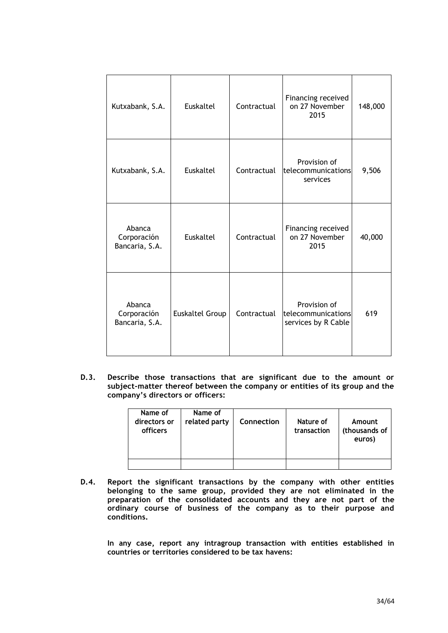| Kutxabank, S.A.                         | Euskaltel              | Contractual | Financing received<br>on 27 November<br>2015              | 148,000 |
|-----------------------------------------|------------------------|-------------|-----------------------------------------------------------|---------|
| Kutxabank, S.A.                         | Euskaltel              | Contractual | Provision of<br>telecommunications<br>services            | 9,506   |
| Abanca<br>Corporación<br>Bancaria, S.A. | Euskaltel              | Contractual | Financing received<br>on 27 November<br>2015              | 40,000  |
| Abanca<br>Corporación<br>Bancaria, S.A. | <b>Euskaltel Group</b> | Contractual | Provision of<br>telecommunications<br>services by R Cable | 619     |

**D.3. Describe those transactions that are significant due to the amount or subject-matter thereof between the company or entities of its group and the company's directors or officers:**

| Name of<br>directors or<br>officers | Name of<br>related party | <b>Connection</b> | Nature of<br>transaction | Amount<br>(thousands of<br>euros) |
|-------------------------------------|--------------------------|-------------------|--------------------------|-----------------------------------|
|                                     |                          |                   |                          |                                   |

**D.4. Report the significant transactions by the company with other entities belonging to the same group, provided they are not eliminated in the preparation of the consolidated accounts and they are not part of the ordinary course of business of the company as to their purpose and conditions.**

**In any case, report any intragroup transaction with entities established in countries or territories considered to be tax havens:**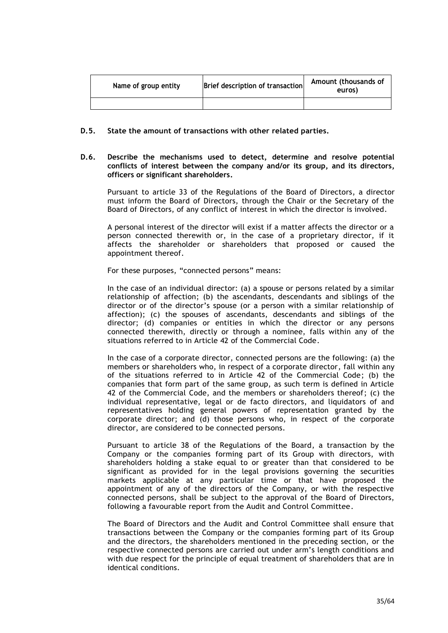| Name of group entity | Brief description of transaction | Amount (thousands of<br>euros) |
|----------------------|----------------------------------|--------------------------------|
|                      |                                  |                                |

### **D.5. State the amount of transactions with other related parties.**

**D.6. Describe the mechanisms used to detect, determine and resolve potential conflicts of interest between the company and/or its group, and its directors, officers or significant shareholders.**

Pursuant to article 33 of the Regulations of the Board of Directors, a director must inform the Board of Directors, through the Chair or the Secretary of the Board of Directors, of any conflict of interest in which the director is involved.

A personal interest of the director will exist if a matter affects the director or a person connected therewith or, in the case of a proprietary director, if it affects the shareholder or shareholders that proposed or caused the appointment thereof.

For these purposes, "connected persons" means:

In the case of an individual director: (a) a spouse or persons related by a similar relationship of affection; (b) the ascendants, descendants and siblings of the director or of the director's spouse (or a person with a similar relationship of affection); (c) the spouses of ascendants, descendants and siblings of the director; (d) companies or entities in which the director or any persons connected therewith, directly or through a nominee, falls within any of the situations referred to in Article 42 of the Commercial Code.

In the case of a corporate director, connected persons are the following: (a) the members or shareholders who, in respect of a corporate director, fall within any of the situations referred to in Article 42 of the Commercial Code; (b) the companies that form part of the same group, as such term is defined in Article 42 of the Commercial Code, and the members or shareholders thereof; (c) the individual representative, legal or de facto directors, and liquidators of and representatives holding general powers of representation granted by the corporate director; and (d) those persons who, in respect of the corporate director, are considered to be connected persons.

Pursuant to article 38 of the Regulations of the Board, a transaction by the Company or the companies forming part of its Group with directors, with shareholders holding a stake equal to or greater than that considered to be significant as provided for in the legal provisions governing the securities markets applicable at any particular time or that have proposed the appointment of any of the directors of the Company, or with the respective connected persons, shall be subject to the approval of the Board of Directors, following a favourable report from the Audit and Control Committee.

The Board of Directors and the Audit and Control Committee shall ensure that transactions between the Company or the companies forming part of its Group and the directors, the shareholders mentioned in the preceding section, or the respective connected persons are carried out under arm's length conditions and with due respect for the principle of equal treatment of shareholders that are in identical conditions.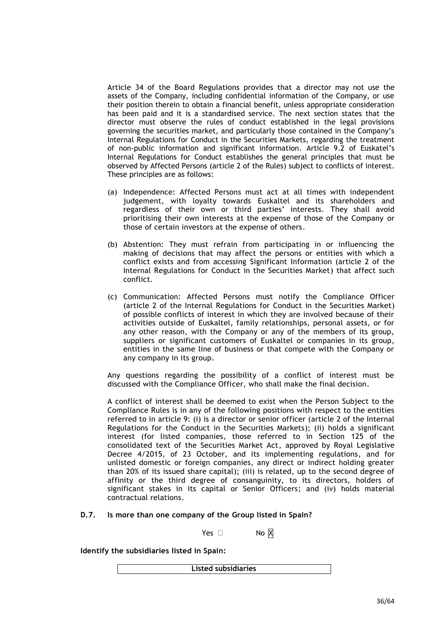Article 34 of the Board Regulations provides that a director may not use the assets of the Company, including confidential information of the Company, or use their position therein to obtain a financial benefit, unless appropriate consideration has been paid and it is a standardised service. The next section states that the director must observe the rules of conduct established in the legal provisions governing the securities market, and particularly those contained in the Company's Internal Regulations for Conduct in the Securities Markets, regarding the treatment of non-public information and significant information. Article 9.2 of Euskatel's Internal Regulations for Conduct establishes the general principles that must be observed by Affected Persons (article 2 of the Rules) subject to conflicts of interest. These principles are as follows:

- (a) Independence: Affected Persons must act at all times with independent judgement, with loyalty towards Euskaltel and its shareholders and regardless of their own or third parties' interests. They shall avoid prioritising their own interests at the expense of those of the Company or those of certain investors at the expense of others.
- (b) Abstention: They must refrain from participating in or influencing the making of decisions that may affect the persons or entities with which a conflict exists and from accessing Significant Information (article 2 of the Internal Regulations for Conduct in the Securities Market) that affect such conflict.
- (c) Communication: Affected Persons must notify the Compliance Officer (article 2 of the Internal Regulations for Conduct in the Securities Market) of possible conflicts of interest in which they are involved because of their activities outside of Euskaltel, family relationships, personal assets, or for any other reason, with the Company or any of the members of its group, suppliers or significant customers of Euskaltel or companies in its group, entities in the same line of business or that compete with the Company or any company in its group.

Any questions regarding the possibility of a conflict of interest must be discussed with the Compliance Officer, who shall make the final decision.

A conflict of interest shall be deemed to exist when the Person Subject to the Compliance Rules is in any of the following positions with respect to the entities referred to in article 9: (i) is a director or senior officer (article 2 of the Internal Regulations for the Conduct in the Securities Markets); (ii) holds a significant interest (for listed companies, those referred to in Section 125 of the consolidated text of the Securities Market Act, approved by Royal Legislative Decree 4/2015, of 23 October, and its implementing regulations, and for unlisted domestic or foreign companies, any direct or indirect holding greater than 20% of its issued share capital); (iii) is related, up to the second degree of affinity or the third degree of consanguinity, to its directors, holders of significant stakes in its capital or Senior Officers; and (iv) holds material contractual relations.

### **D.7. Is more than one company of the Group listed in Spain?**

Yes  $\Box$  No X

**Identify the subsidiaries listed in Spain:**

**Listed subsidiaries**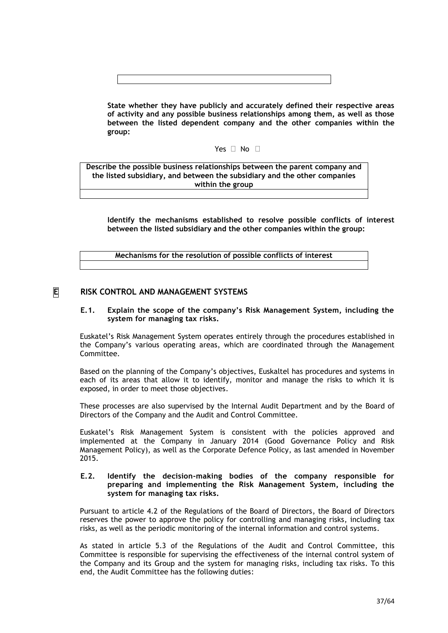**State whether they have publicly and accurately defined their respective areas of activity and any possible business relationships among them, as well as those between the listed dependent company and the other companies within the group:**

## Yes  $\Box$  No  $\Box$

**Describe the possible business relationships between the parent company and the listed subsidiary, and between the subsidiary and the other companies within the group**

**Identify the mechanisms established to resolve possible conflicts of interest between the listed subsidiary and the other companies within the group:**

**Mechanisms for the resolution of possible conflicts of interest**

## **E RISK CONTROL AND MANAGEMENT SYSTEMS**

#### **E.1. Explain the scope of the company's Risk Management System, including the system for managing tax risks.**

Euskatel's Risk Management System operates entirely through the procedures established in the Company's various operating areas, which are coordinated through the Management Committee.

Based on the planning of the Company's objectives, Euskaltel has procedures and systems in each of its areas that allow it to identify, monitor and manage the risks to which it is exposed, in order to meet those objectives.

These processes are also supervised by the Internal Audit Department and by the Board of Directors of the Company and the Audit and Control Committee.

Euskatel's Risk Management System is consistent with the policies approved and implemented at the Company in January 2014 (Good Governance Policy and Risk Management Policy), as well as the Corporate Defence Policy, as last amended in November 2015.

### **E.2. Identify the decision-making bodies of the company responsible for preparing and implementing the Risk Management System, including the system for managing tax risks.**

Pursuant to article 4.2 of the Regulations of the Board of Directors, the Board of Directors reserves the power to approve the policy for controlling and managing risks, including tax risks, as well as the periodic monitoring of the internal information and control systems.

As stated in article 5.3 of the Regulations of the Audit and Control Committee, this Committee is responsible for supervising the effectiveness of the internal control system of the Company and its Group and the system for managing risks, including tax risks. To this end, the Audit Committee has the following duties: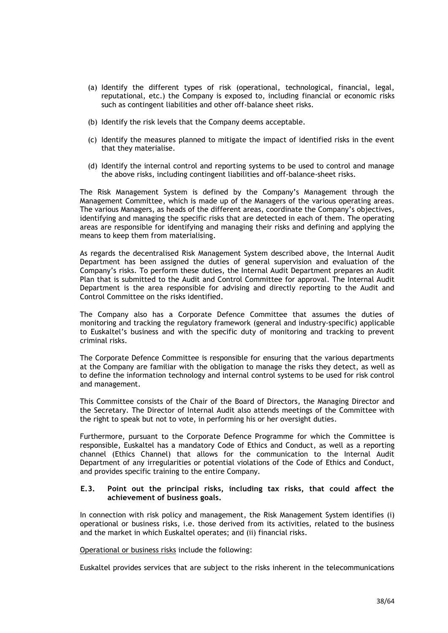- (a) Identify the different types of risk (operational, technological, financial, legal, reputational, etc.) the Company is exposed to, including financial or economic risks such as contingent liabilities and other off-balance sheet risks.
- (b) Identify the risk levels that the Company deems acceptable.
- (c) Identify the measures planned to mitigate the impact of identified risks in the event that they materialise.
- (d) Identify the internal control and reporting systems to be used to control and manage the above risks, including contingent liabilities and off-balance-sheet risks.

The Risk Management System is defined by the Company's Management through the Management Committee, which is made up of the Managers of the various operating areas. The various Managers, as heads of the different areas, coordinate the Company's objectives, identifying and managing the specific risks that are detected in each of them. The operating areas are responsible for identifying and managing their risks and defining and applying the means to keep them from materialising.

As regards the decentralised Risk Management System described above, the Internal Audit Department has been assigned the duties of general supervision and evaluation of the Company's risks. To perform these duties, the Internal Audit Department prepares an Audit Plan that is submitted to the Audit and Control Committee for approval. The Internal Audit Department is the area responsible for advising and directly reporting to the Audit and Control Committee on the risks identified.

The Company also has a Corporate Defence Committee that assumes the duties of monitoring and tracking the regulatory framework (general and industry-specific) applicable to Euskaltel's business and with the specific duty of monitoring and tracking to prevent criminal risks.

The Corporate Defence Committee is responsible for ensuring that the various departments at the Company are familiar with the obligation to manage the risks they detect, as well as to define the information technology and internal control systems to be used for risk control and management.

This Committee consists of the Chair of the Board of Directors, the Managing Director and the Secretary. The Director of Internal Audit also attends meetings of the Committee with the right to speak but not to vote, in performing his or her oversight duties.

Furthermore, pursuant to the Corporate Defence Programme for which the Committee is responsible, Euskaltel has a mandatory Code of Ethics and Conduct, as well as a reporting channel (Ethics Channel) that allows for the communication to the Internal Audit Department of any irregularities or potential violations of the Code of Ethics and Conduct, and provides specific training to the entire Company.

### **E.3. Point out the principal risks, including tax risks, that could affect the achievement of business goals.**

In connection with risk policy and management, the Risk Management System identifies (i) operational or business risks, i.e. those derived from its activities, related to the business and the market in which Euskaltel operates; and (ii) financial risks.

Operational or business risks include the following:

Euskaltel provides services that are subject to the risks inherent in the telecommunications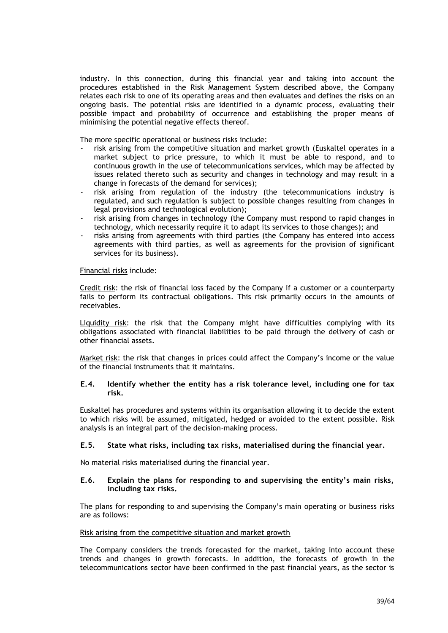industry. In this connection, during this financial year and taking into account the procedures established in the Risk Management System described above, the Company relates each risk to one of its operating areas and then evaluates and defines the risks on an ongoing basis. The potential risks are identified in a dynamic process, evaluating their possible impact and probability of occurrence and establishing the proper means of minimising the potential negative effects thereof.

The more specific operational or business risks include:

- risk arising from the competitive situation and market growth (Euskaltel operates in a market subject to price pressure, to which it must be able to respond, and to continuous growth in the use of telecommunications services, which may be affected by issues related thereto such as security and changes in technology and may result in a change in forecasts of the demand for services);
- risk arising from regulation of the industry (the telecommunications industry is regulated, and such regulation is subject to possible changes resulting from changes in legal provisions and technological evolution);
- risk arising from changes in technology (the Company must respond to rapid changes in technology, which necessarily require it to adapt its services to those changes); and
- risks arising from agreements with third parties (the Company has entered into access agreements with third parties, as well as agreements for the provision of significant services for its business).

### Financial risks include:

Credit risk: the risk of financial loss faced by the Company if a customer or a counterparty fails to perform its contractual obligations. This risk primarily occurs in the amounts of receivables.

Liquidity risk: the risk that the Company might have difficulties complying with its obligations associated with financial liabilities to be paid through the delivery of cash or other financial assets.

Market risk: the risk that changes in prices could affect the Company's income or the value of the financial instruments that it maintains.

### **E.4. Identify whether the entity has a risk tolerance level, including one for tax risk.**

Euskaltel has procedures and systems within its organisation allowing it to decide the extent to which risks will be assumed, mitigated, hedged or avoided to the extent possible. Risk analysis is an integral part of the decision-making process.

### **E.5. State what risks, including tax risks, materialised during the financial year.**

No material risks materialised during the financial year.

#### **E.6. Explain the plans for responding to and supervising the entity's main risks, including tax risks.**

The plans for responding to and supervising the Company's main operating or business risks are as follows:

#### Risk arising from the competitive situation and market growth

The Company considers the trends forecasted for the market, taking into account these trends and changes in growth forecasts. In addition, the forecasts of growth in the telecommunications sector have been confirmed in the past financial years, as the sector is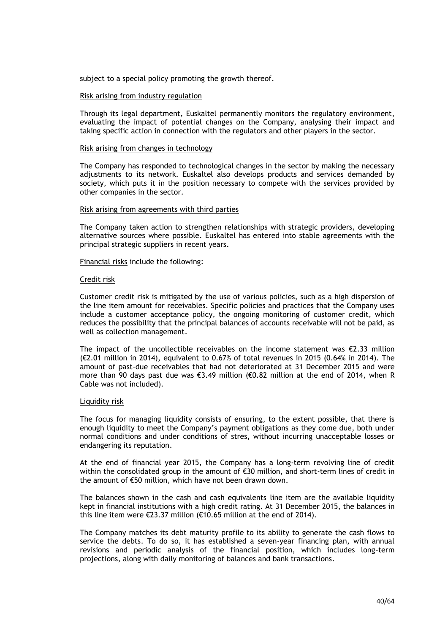subject to a special policy promoting the growth thereof.

#### Risk arising from industry regulation

Through its legal department, Euskaltel permanently monitors the regulatory environment, evaluating the impact of potential changes on the Company, analysing their impact and taking specific action in connection with the regulators and other players in the sector.

#### Risk arising from changes in technology

The Company has responded to technological changes in the sector by making the necessary adjustments to its network. Euskaltel also develops products and services demanded by society, which puts it in the position necessary to compete with the services provided by other companies in the sector.

#### Risk arising from agreements with third parties

The Company taken action to strengthen relationships with strategic providers, developing alternative sources where possible. Euskaltel has entered into stable agreements with the principal strategic suppliers in recent years.

#### Financial risks include the following:

#### Credit risk

Customer credit risk is mitigated by the use of various policies, such as a high dispersion of the line item amount for receivables. Specific policies and practices that the Company uses include a customer acceptance policy, the ongoing monitoring of customer credit, which reduces the possibility that the principal balances of accounts receivable will not be paid, as well as collection management.

The impact of the uncollectible receivables on the income statement was  $\epsilon$ 2.33 million (€2.01 million in 2014), equivalent to 0.67% of total revenues in 2015 (0.64% in 2014). The amount of past-due receivables that had not deteriorated at 31 December 2015 and were more than 90 days past due was €3.49 million (€0.82 million at the end of 2014, when R Cable was not included).

#### Liquidity risk

The focus for managing liquidity consists of ensuring, to the extent possible, that there is enough liquidity to meet the Company's payment obligations as they come due, both under normal conditions and under conditions of stres, without incurring unacceptable losses or endangering its reputation.

At the end of financial year 2015, the Company has a long-term revolving line of credit within the consolidated group in the amount of €30 million, and short-term lines of credit in the amount of €50 million, which have not been drawn down.

The balances shown in the cash and cash equivalents line item are the available liquidity kept in financial institutions with a high credit rating. At 31 December 2015, the balances in this line item were €23.37 million (€10.65 million at the end of 2014).

The Company matches its debt maturity profile to its ability to generate the cash flows to service the debts. To do so, it has established a seven-year financing plan, with annual revisions and periodic analysis of the financial position, which includes long-term projections, along with daily monitoring of balances and bank transactions.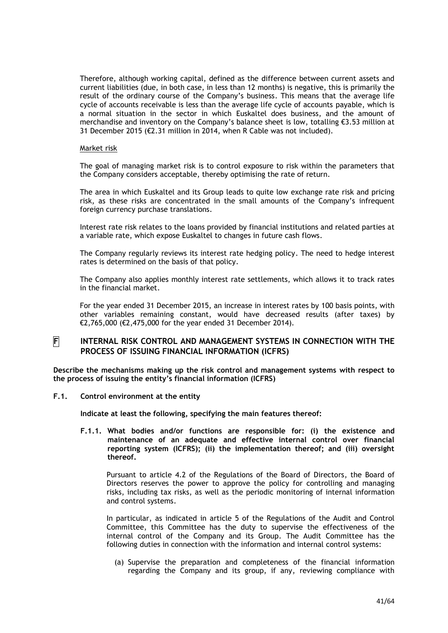Therefore, although working capital, defined as the difference between current assets and current liabilities (due, in both case, in less than 12 months) is negative, this is primarily the result of the ordinary course of the Company's business. This means that the average life cycle of accounts receivable is less than the average life cycle of accounts payable, which is a normal situation in the sector in which Euskaltel does business, and the amount of merchandise and inventory on the Company's balance sheet is low, totalling  $\epsilon$ 3.53 million at 31 December 2015 (€2.31 million in 2014, when R Cable was not included).

#### Market risk

The goal of managing market risk is to control exposure to risk within the parameters that the Company considers acceptable, thereby optimising the rate of return.

The area in which Euskaltel and its Group leads to quite low exchange rate risk and pricing risk, as these risks are concentrated in the small amounts of the Company's infrequent foreign currency purchase translations.

Interest rate risk relates to the loans provided by financial institutions and related parties at a variable rate, which expose Euskaltel to changes in future cash flows.

The Company regularly reviews its interest rate hedging policy. The need to hedge interest rates is determined on the basis of that policy.

The Company also applies monthly interest rate settlements, which allows it to track rates in the financial market.

For the year ended 31 December 2015, an increase in interest rates by 100 basis points, with other variables remaining constant, would have decreased results (after taxes) by €2,765,000 (€2,475,000 for the year ended 31 December 2014).

### **F INTERNAL RISK CONTROL AND MANAGEMENT SYSTEMS IN CONNECTION WITH THE PROCESS OF ISSUING FINANCIAL INFORMATION (ICFRS)**

**Describe the mechanisms making up the risk control and management systems with respect to the process of issuing the entity's financial information (ICFRS)**

**F.1. Control environment at the entity**

**Indicate at least the following, specifying the main features thereof:**

**F.1.1. What bodies and/or functions are responsible for: (i) the existence and maintenance of an adequate and effective internal control over financial reporting system (ICFRS); (ii) the implementation thereof; and (iii) oversight thereof.**

Pursuant to article 4.2 of the Regulations of the Board of Directors, the Board of Directors reserves the power to approve the policy for controlling and managing risks, including tax risks, as well as the periodic monitoring of internal information and control systems.

In particular, as indicated in article 5 of the Regulations of the Audit and Control Committee, this Committee has the duty to supervise the effectiveness of the internal control of the Company and its Group. The Audit Committee has the following duties in connection with the information and internal control systems:

(a) Supervise the preparation and completeness of the financial information regarding the Company and its group, if any, reviewing compliance with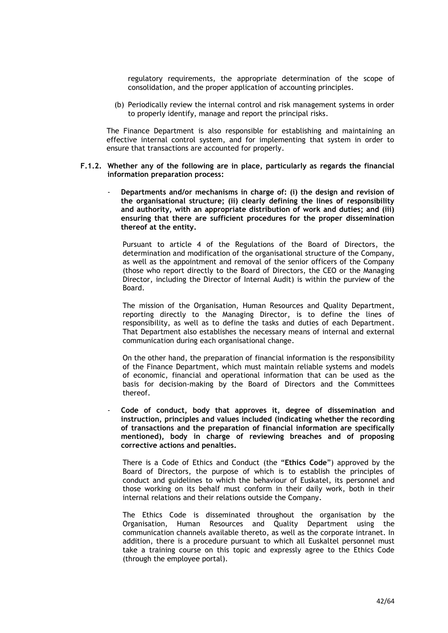regulatory requirements, the appropriate determination of the scope of consolidation, and the proper application of accounting principles.

(b) Periodically review the internal control and risk management systems in order to properly identify, manage and report the principal risks.

The Finance Department is also responsible for establishing and maintaining an effective internal control system, and for implementing that system in order to ensure that transactions are accounted for properly.

- **F.1.2. Whether any of the following are in place, particularly as regards the financial information preparation process:**
	- **Departments and/or mechanisms in charge of: (i) the design and revision of the organisational structure; (ii) clearly defining the lines of responsibility and authority, with an appropriate distribution of work and duties; and (iii) ensuring that there are sufficient procedures for the proper dissemination thereof at the entity.**

Pursuant to article 4 of the Regulations of the Board of Directors, the determination and modification of the organisational structure of the Company, as well as the appointment and removal of the senior officers of the Company (those who report directly to the Board of Directors, the CEO or the Managing Director, including the Director of Internal Audit) is within the purview of the Board.

The mission of the Organisation, Human Resources and Quality Department, reporting directly to the Managing Director, is to define the lines of responsibility, as well as to define the tasks and duties of each Department. That Department also establishes the necessary means of internal and external communication during each organisational change.

On the other hand, the preparation of financial information is the responsibility of the Finance Department, which must maintain reliable systems and models of economic, financial and operational information that can be used as the basis for decision-making by the Board of Directors and the Committees thereof.

- **Code of conduct, body that approves it, degree of dissemination and instruction, principles and values included (indicating whether the recording of transactions and the preparation of financial information are specifically mentioned), body in charge of reviewing breaches and of proposing corrective actions and penalties.**

There is a Code of Ethics and Conduct (the "**Ethics Code**") approved by the Board of Directors, the purpose of which is to establish the principles of conduct and guidelines to which the behaviour of Euskatel, its personnel and those working on its behalf must conform in their daily work, both in their internal relations and their relations outside the Company.

The Ethics Code is disseminated throughout the organisation by the Organisation, Human Resources and Quality Department using the communication channels available thereto, as well as the corporate intranet. In addition, there is a procedure pursuant to which all Euskaltel personnel must take a training course on this topic and expressly agree to the Ethics Code (through the employee portal).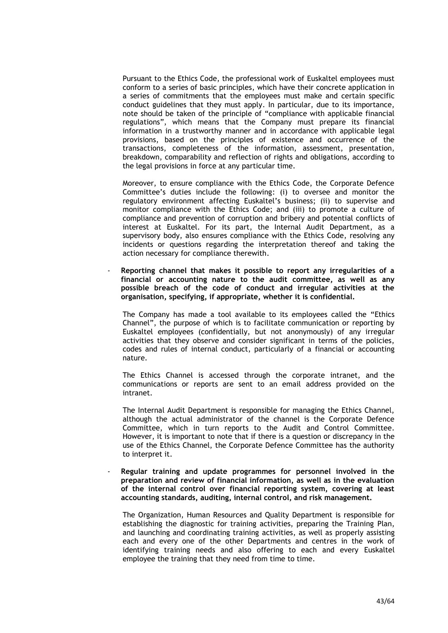Pursuant to the Ethics Code, the professional work of Euskaltel employees must conform to a series of basic principles, which have their concrete application in a series of commitments that the employees must make and certain specific conduct guidelines that they must apply. In particular, due to its importance, note should be taken of the principle of "compliance with applicable financial regulations", which means that the Company must prepare its financial information in a trustworthy manner and in accordance with applicable legal provisions, based on the principles of existence and occurrence of the transactions, completeness of the information, assessment, presentation, breakdown, comparability and reflection of rights and obligations, according to the legal provisions in force at any particular time.

Moreover, to ensure compliance with the Ethics Code, the Corporate Defence Committee's duties include the following: (i) to oversee and monitor the regulatory environment affecting Euskaltel's business; (ii) to supervise and monitor compliance with the Ethics Code; and (iii) to promote a culture of compliance and prevention of corruption and bribery and potential conflicts of interest at Euskaltel. For its part, the Internal Audit Department, as a supervisory body, also ensures compliance with the Ethics Code, resolving any incidents or questions regarding the interpretation thereof and taking the action necessary for compliance therewith.

- **Reporting channel that makes it possible to report any irregularities of a financial or accounting nature to the audit committee, as well as any possible breach of the code of conduct and irregular activities at the organisation, specifying, if appropriate, whether it is confidential.**

The Company has made a tool available to its employees called the "Ethics Channel", the purpose of which is to facilitate communication or reporting by Euskaltel employees (confidentially, but not anonymously) of any irregular activities that they observe and consider significant in terms of the policies, codes and rules of internal conduct, particularly of a financial or accounting nature.

The Ethics Channel is accessed through the corporate intranet, and the communications or reports are sent to an email address provided on the intranet.

The Internal Audit Department is responsible for managing the Ethics Channel, although the actual administrator of the channel is the Corporate Defence Committee, which in turn reports to the Audit and Control Committee. However, it is important to note that if there is a question or discrepancy in the use of the Ethics Channel, the Corporate Defence Committee has the authority to interpret it.

- **Regular training and update programmes for personnel involved in the preparation and review of financial information, as well as in the evaluation of the internal control over financial reporting system, covering at least accounting standards, auditing, internal control, and risk management.**

The Organization, Human Resources and Quality Department is responsible for establishing the diagnostic for training activities, preparing the Training Plan, and launching and coordinating training activities, as well as properly assisting each and every one of the other Departments and centres in the work of identifying training needs and also offering to each and every Euskaltel employee the training that they need from time to time.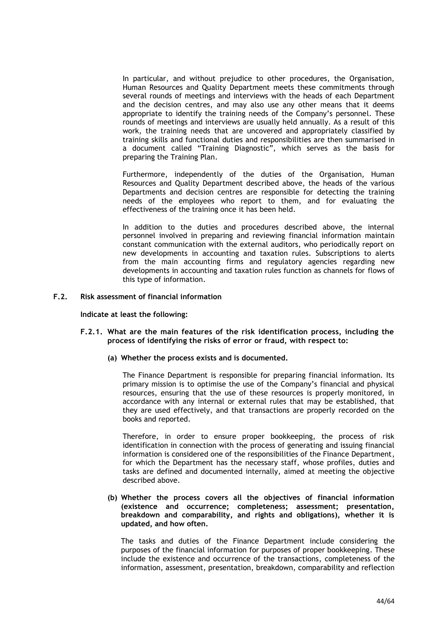In particular, and without prejudice to other procedures, the Organisation, Human Resources and Quality Department meets these commitments through several rounds of meetings and interviews with the heads of each Department and the decision centres, and may also use any other means that it deems appropriate to identify the training needs of the Company's personnel. These rounds of meetings and interviews are usually held annually. As a result of this work, the training needs that are uncovered and appropriately classified by training skills and functional duties and responsibilities are then summarised in a document called "Training Diagnostic", which serves as the basis for preparing the Training Plan.

Furthermore, independently of the duties of the Organisation, Human Resources and Quality Department described above, the heads of the various Departments and decision centres are responsible for detecting the training needs of the employees who report to them, and for evaluating the effectiveness of the training once it has been held.

In addition to the duties and procedures described above, the internal personnel involved in preparing and reviewing financial information maintain constant communication with the external auditors, who periodically report on new developments in accounting and taxation rules. Subscriptions to alerts from the main accounting firms and regulatory agencies regarding new developments in accounting and taxation rules function as channels for flows of this type of information.

#### **F.2. Risk assessment of financial information**

**Indicate at least the following:**

- **F.2.1. What are the main features of the risk identification process, including the process of identifying the risks of error or fraud, with respect to:**
	- **(a) Whether the process exists and is documented.**

The Finance Department is responsible for preparing financial information. Its primary mission is to optimise the use of the Company's financial and physical resources, ensuring that the use of these resources is properly monitored, in accordance with any internal or external rules that may be established, that they are used effectively, and that transactions are properly recorded on the books and reported.

Therefore, in order to ensure proper bookkeeping, the process of risk identification in connection with the process of generating and issuing financial information is considered one of the responsibilities of the Finance Department, for which the Department has the necessary staff, whose profiles, duties and tasks are defined and documented internally, aimed at meeting the objective described above.

**(b) Whether the process covers all the objectives of financial information (existence and occurrence; completeness; assessment; presentation, breakdown and comparability, and rights and obligations), whether it is updated, and how often.**

The tasks and duties of the Finance Department include considering the purposes of the financial information for purposes of proper bookkeeping. These include the existence and occurrence of the transactions, completeness of the information, assessment, presentation, breakdown, comparability and reflection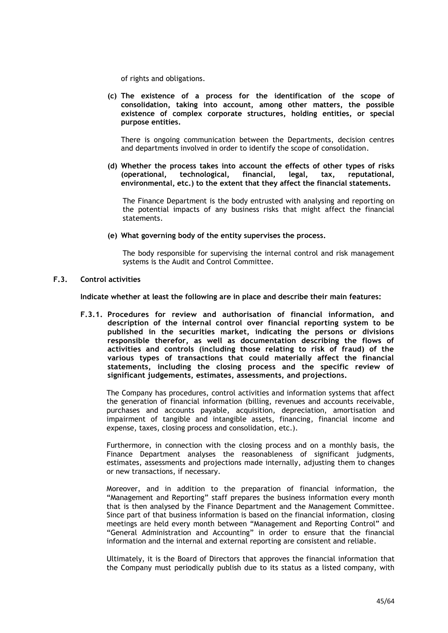of rights and obligations.

**(c) The existence of a process for the identification of the scope of consolidation, taking into account, among other matters, the possible existence of complex corporate structures, holding entities, or special purpose entities.**

There is ongoing communication between the Departments, decision centres and departments involved in order to identify the scope of consolidation.

**(d) Whether the process takes into account the effects of other types of risks (operational, technological, financial, legal, tax, reputational, environmental, etc.) to the extent that they affect the financial statements.**

The Finance Department is the body entrusted with analysing and reporting on the potential impacts of any business risks that might affect the financial statements.

**(e) What governing body of the entity supervises the process.**

The body responsible for supervising the internal control and risk management systems is the Audit and Control Committee.

**F.3. Control activities**

**Indicate whether at least the following are in place and describe their main features:**

**F.3.1. Procedures for review and authorisation of financial information, and description of the internal control over financial reporting system to be published in the securities market, indicating the persons or divisions responsible therefor, as well as documentation describing the flows of activities and controls (including those relating to risk of fraud) of the various types of transactions that could materially affect the financial statements, including the closing process and the specific review of significant judgements, estimates, assessments, and projections.**

The Company has procedures, control activities and information systems that affect the generation of financial information (billing, revenues and accounts receivable, purchases and accounts payable, acquisition, depreciation, amortisation and impairment of tangible and intangible assets, financing, financial income and expense, taxes, closing process and consolidation, etc.).

Furthermore, in connection with the closing process and on a monthly basis, the Finance Department analyses the reasonableness of significant judgments, estimates, assessments and projections made internally, adjusting them to changes or new transactions, if necessary.

Moreover, and in addition to the preparation of financial information, the "Management and Reporting" staff prepares the business information every month that is then analysed by the Finance Department and the Management Committee. Since part of that business information is based on the financial information, closing meetings are held every month between "Management and Reporting Control" and "General Administration and Accounting" in order to ensure that the financial information and the internal and external reporting are consistent and reliable.

Ultimately, it is the Board of Directors that approves the financial information that the Company must periodically publish due to its status as a listed company, with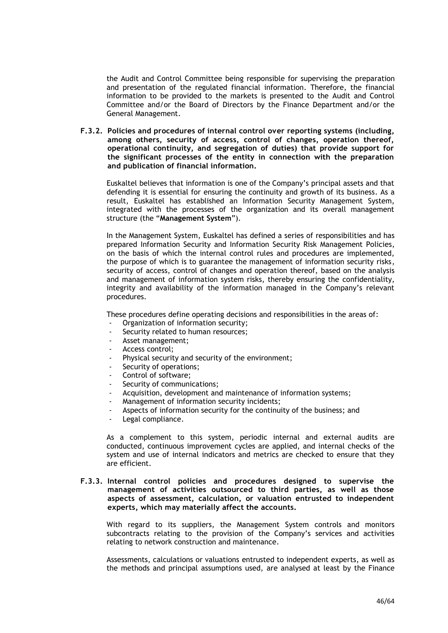the Audit and Control Committee being responsible for supervising the preparation and presentation of the regulated financial information. Therefore, the financial information to be provided to the markets is presented to the Audit and Control Committee and/or the Board of Directors by the Finance Department and/or the General Management.

**F.3.2. Policies and procedures of internal control over reporting systems (including, among others, security of access, control of changes, operation thereof, operational continuity, and segregation of duties) that provide support for the significant processes of the entity in connection with the preparation and publication of financial information.**

Euskaltel believes that information is one of the Company's principal assets and that defending it is essential for ensuring the continuity and growth of its business. As a result, Euskaltel has established an Information Security Management System, integrated with the processes of the organization and its overall management structure (the "**Management System**").

In the Management System, Euskaltel has defined a series of responsibilities and has prepared Information Security and Information Security Risk Management Policies, on the basis of which the internal control rules and procedures are implemented, the purpose of which is to guarantee the management of information security risks, security of access, control of changes and operation thereof, based on the analysis and management of information system risks, thereby ensuring the confidentiality, integrity and availability of the information managed in the Company's relevant procedures.

These procedures define operating decisions and responsibilities in the areas of:

- Organization of information security;
- Security related to human resources;
- Asset management;
- Access control;
- Physical security and security of the environment;
- Security of operations;
- Control of software;
- Security of communications;
- Acquisition, development and maintenance of information systems;
- Management of information security incidents;
- Aspects of information security for the continuity of the business; and
- Legal compliance.

As a complement to this system, periodic internal and external audits are conducted, continuous improvement cycles are applied, and internal checks of the system and use of internal indicators and metrics are checked to ensure that they are efficient.

### **F.3.3. Internal control policies and procedures designed to supervise the management of activities outsourced to third parties, as well as those aspects of assessment, calculation, or valuation entrusted to independent experts, which may materially affect the accounts.**

With regard to its suppliers, the Management System controls and monitors subcontracts relating to the provision of the Company's services and activities relating to network construction and maintenance.

Assessments, calculations or valuations entrusted to independent experts, as well as the methods and principal assumptions used, are analysed at least by the Finance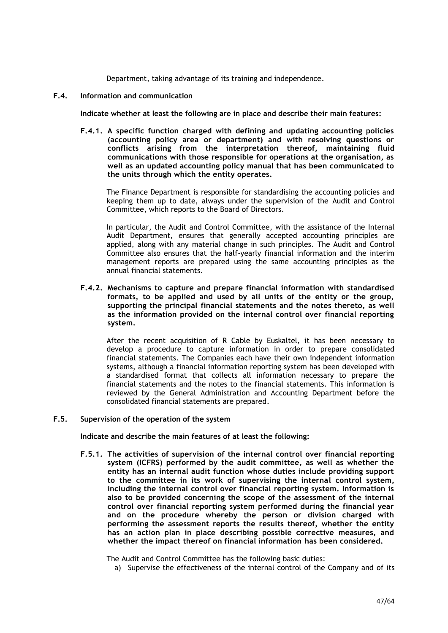Department, taking advantage of its training and independence.

### **F.4. Information and communication**

**Indicate whether at least the following are in place and describe their main features:**

**F.4.1. A specific function charged with defining and updating accounting policies (accounting policy area or department) and with resolving questions or conflicts arising from the interpretation thereof, maintaining fluid communications with those responsible for operations at the organisation, as well as an updated accounting policy manual that has been communicated to the units through which the entity operates.**

The Finance Department is responsible for standardising the accounting policies and keeping them up to date, always under the supervision of the Audit and Control Committee, which reports to the Board of Directors.

In particular, the Audit and Control Committee, with the assistance of the Internal Audit Department, ensures that generally accepted accounting principles are applied, along with any material change in such principles. The Audit and Control Committee also ensures that the half-yearly financial information and the interim management reports are prepared using the same accounting principles as the annual financial statements.

**F.4.2. Mechanisms to capture and prepare financial information with standardised formats, to be applied and used by all units of the entity or the group, supporting the principal financial statements and the notes thereto, as well as the information provided on the internal control over financial reporting system.**

After the recent acquisition of R Cable by Euskaltel, it has been necessary to develop a procedure to capture information in order to prepare consolidated financial statements. The Companies each have their own independent information systems, although a financial information reporting system has been developed with a standardised format that collects all information necessary to prepare the financial statements and the notes to the financial statements. This information is reviewed by the General Administration and Accounting Department before the consolidated financial statements are prepared.

### **F.5. Supervision of the operation of the system**

**Indicate and describe the main features of at least the following:**

**F.5.1. The activities of supervision of the internal control over financial reporting system (ICFRS) performed by the audit committee, as well as whether the entity has an internal audit function whose duties include providing support to the committee in its work of supervising the internal control system, including the internal control over financial reporting system. Information is also to be provided concerning the scope of the assessment of the internal control over financial reporting system performed during the financial year and on the procedure whereby the person or division charged with performing the assessment reports the results thereof, whether the entity has an action plan in place describing possible corrective measures, and whether the impact thereof on financial information has been considered.**

The Audit and Control Committee has the following basic duties:

a) Supervise the effectiveness of the internal control of the Company and of its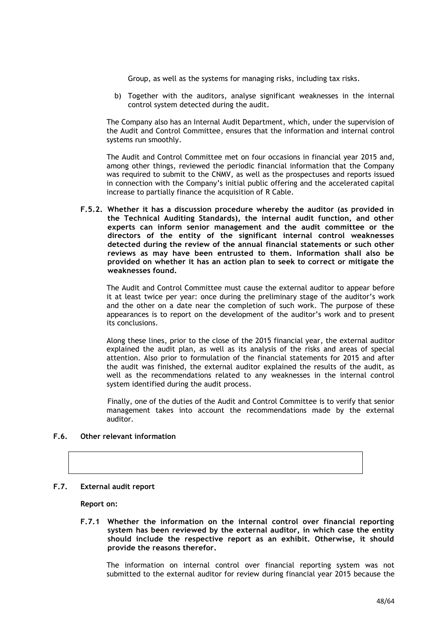Group, as well as the systems for managing risks, including tax risks.

b) Together with the auditors, analyse significant weaknesses in the internal control system detected during the audit.

The Company also has an Internal Audit Department, which, under the supervision of the Audit and Control Committee, ensures that the information and internal control systems run smoothly.

The Audit and Control Committee met on four occasions in financial year 2015 and, among other things, reviewed the periodic financial information that the Company was required to submit to the CNMV, as well as the prospectuses and reports issued in connection with the Company's initial public offering and the accelerated capital increase to partially finance the acquisition of R Cable.

**F.5.2. Whether it has a discussion procedure whereby the auditor (as provided in the Technical Auditing Standards), the internal audit function, and other experts can inform senior management and the audit committee or the directors of the entity of the significant internal control weaknesses detected during the review of the annual financial statements or such other reviews as may have been entrusted to them. Information shall also be provided on whether it has an action plan to seek to correct or mitigate the weaknesses found.**

The Audit and Control Committee must cause the external auditor to appear before it at least twice per year: once during the preliminary stage of the auditor's work and the other on a date near the completion of such work. The purpose of these appearances is to report on the development of the auditor's work and to present its conclusions.

Along these lines, prior to the close of the 2015 financial year, the external auditor explained the audit plan, as well as its analysis of the risks and areas of special attention. Also prior to formulation of the financial statements for 2015 and after the audit was finished, the external auditor explained the results of the audit, as well as the recommendations related to any weaknesses in the internal control system identified during the audit process.

Finally, one of the duties of the Audit and Control Committee is to verify that senior management takes into account the recommendations made by the external auditor.

### **F.6. Other relevant information**

#### **F.7. External audit report**

**Report on:**

**F.7.1 Whether the information on the internal control over financial reporting system has been reviewed by the external auditor, in which case the entity should include the respective report as an exhibit. Otherwise, it should provide the reasons therefor.**

The information on internal control over financial reporting system was not submitted to the external auditor for review during financial year 2015 because the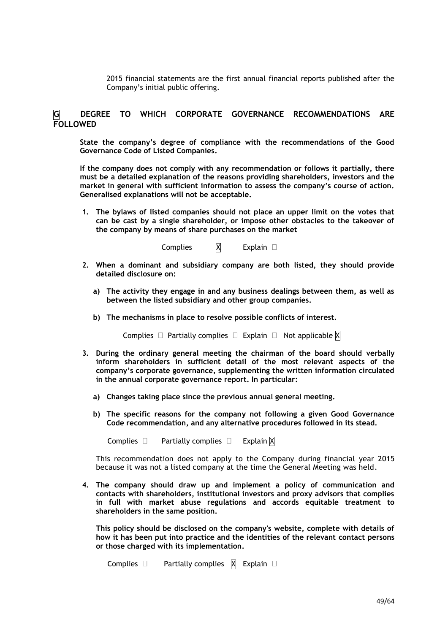2015 financial statements are the first annual financial reports published after the Company's initial public offering.

## **G DEGREE TO WHICH CORPORATE GOVERNANCE RECOMMENDATIONS ARE FOLLOWED**

**State the company's degree of compliance with the recommendations of the Good Governance Code of Listed Companies.**

**If the company does not comply with any recommendation or follows it partially, there must be a detailed explanation of the reasons providing shareholders, investors and the market in general with sufficient information to assess the company's course of action. Generalised explanations will not be acceptable.**

**1. The bylaws of listed companies should not place an upper limit on the votes that can be cast by a single shareholder, or impose other obstacles to the takeover of the company by means of share purchases on the market**

Complies  $X$  Explain  $\Box$ 

- **2. When a dominant and subsidiary company are both listed, they should provide detailed disclosure on:**
	- **a) The activity they engage in and any business dealings between them, as well as between the listed subsidiary and other group companies.**
	- **b) The mechanisms in place to resolve possible conflicts of interest.**

Complies  $\Box$  Partially complies  $\Box$  Explain  $\Box$  Not applicable  $\boxtimes$ 

- **3. During the ordinary general meeting the chairman of the board should verbally inform shareholders in sufficient detail of the most relevant aspects of the company's corporate governance, supplementing the written information circulated in the annual corporate governance report. In particular:**
	- **a) Changes taking place since the previous annual general meeting.**
	- **b) The specific reasons for the company not following a given Good Governance Code recommendation, and any alternative procedures followed in its stead.**

Complies  $\Box$  Partially complies  $\Box$  Explain  $\overline{M}$ 

This recommendation does not apply to the Company during financial year 2015 because it was not a listed company at the time the General Meeting was held.

**4. The company should draw up and implement a policy of communication and contacts with shareholders, institutional investors and proxy advisors that complies in full with market abuse regulations and accords equitable treatment to shareholders in the same position.**

**This policy should be disclosed on the company's website, complete with details of how it has been put into practice and the identities of the relevant contact persons or those charged with its implementation.**

Complies  $\Box$  Partially complies  $\boxtimes$  Explain  $\Box$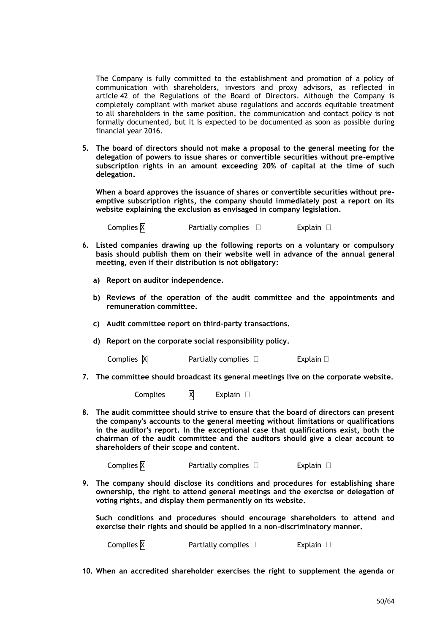The Company is fully committed to the establishment and promotion of a policy of communication with shareholders, investors and proxy advisors, as reflected in article 42 of the Regulations of the Board of Directors. Although the Company is completely compliant with market abuse regulations and accords equitable treatment to all shareholders in the same position, the communication and contact policy is not formally documented, but it is expected to be documented as soon as possible during financial year 2016.

**5. The board of directors should not make a proposal to the general meeting for the delegation of powers to issue shares or convertible securities without pre-emptive subscription rights in an amount exceeding 20% of capital at the time of such delegation.**

**When a board approves the issuance of shares or convertible securities without preemptive subscription rights, the company should immediately post a report on its website explaining the exclusion as envisaged in company legislation.**

Complies  $\boxtimes$  Partially complies  $\Box$  Explain  $\Box$ 

- **6. Listed companies drawing up the following reports on a voluntary or compulsory basis should publish them on their website well in advance of the annual general meeting, even if their distribution is not obligatory:**
	- **a) Report on auditor independence.**
	- **b) Reviews of the operation of the audit committee and the appointments and remuneration committee.**
	- **c) Audit committee report on third-party transactions.**
	- **d) Report on the corporate social responsibility policy.**

Complies  $\boxtimes$  Partially complies  $\Box$  Explain  $\Box$ 

**7. The committee should broadcast its general meetings live on the corporate website.**

Complies  $\boxtimes$  Explain  $\Box$ 

**8. The audit committee should strive to ensure that the board of directors can present the company's accounts to the general meeting without limitations or qualifications in the auditor's report. In the exceptional case that qualifications exist, both the chairman of the audit committee and the auditors should give a clear account to shareholders of their scope and content.**

Complies  $\boxtimes$  Partially complies  $\Box$  Explain  $\Box$ 

**9. The company should disclose its conditions and procedures for establishing share ownership, the right to attend general meetings and the exercise or delegation of voting rights, and display them permanently on its website.**

**Such conditions and procedures should encourage shareholders to attend and exercise their rights and should be applied in a non-discriminatory manner.**

Complies  $\boxtimes$  Partially complies  $\Box$  Explain  $\Box$ 

**10. When an accredited shareholder exercises the right to supplement the agenda or**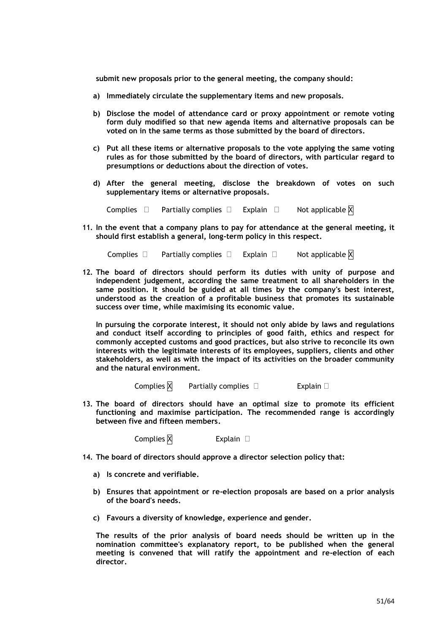**submit new proposals prior to the general meeting, the company should:**

- **a) Immediately circulate the supplementary items and new proposals.**
- **b) Disclose the model of attendance card or proxy appointment or remote voting form duly modified so that new agenda items and alternative proposals can be voted on in the same terms as those submitted by the board of directors.**
- **c) Put all these items or alternative proposals to the vote applying the same voting rules as for those submitted by the board of directors, with particular regard to presumptions or deductions about the direction of votes.**
- **d) After the general meeting, disclose the breakdown of votes on such supplementary items or alternative proposals.**

Complies  $\Box$  Partially complies  $\Box$  Explain  $\Box$  Not applicable  $\boxtimes$ 

**11. In the event that a company plans to pay for attendance at the general meeting, it should first establish a general, long-term policy in this respect.**

Complies  $\Box$  Partially complies  $\Box$  Explain  $\Box$  Not applicable  $\boxtimes$ 

**12. The board of directors should perform its duties with unity of purpose and independent judgement, according the same treatment to all shareholders in the same position. It should be guided at all times by the company's best interest, understood as the creation of a profitable business that promotes its sustainable success over time, while maximising its economic value.**

**In pursuing the corporate interest, it should not only abide by laws and regulations and conduct itself according to principles of good faith, ethics and respect for commonly accepted customs and good practices, but also strive to reconcile its own interests with the legitimate interests of its employees, suppliers, clients and other stakeholders, as well as with the impact of its activities on the broader community and the natural environment.**

Complies  $\boxtimes$  Partially complies  $\Box$  Explain  $\Box$ 

**13. The board of directors should have an optimal size to promote its efficient functioning and maximise participation. The recommended range is accordingly between five and fifteen members.**

Complies  $\boxtimes$  Explain  $\Box$ 

**14. The board of directors should approve a director selection policy that:**

- **a) Is concrete and verifiable.**
- **b) Ensures that appointment or re-election proposals are based on a prior analysis of the board's needs.**
- **c) Favours a diversity of knowledge, experience and gender.**

**The results of the prior analysis of board needs should be written up in the nomination committee's explanatory report, to be published when the general meeting is convened that will ratify the appointment and re-election of each director.**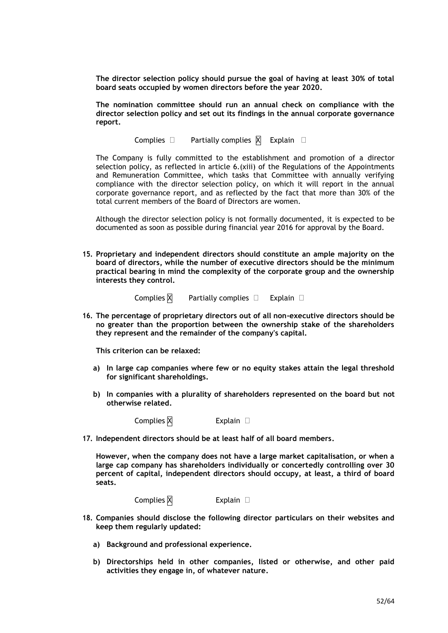**The director selection policy should pursue the goal of having at least 30% of total board seats occupied by women directors before the year 2020.**

**The nomination committee should run an annual check on compliance with the director selection policy and set out its findings in the annual corporate governance report.**

Complies  $\Box$  Partially complies  $\boxtimes$  Explain  $\Box$ 

The Company is fully committed to the establishment and promotion of a director selection policy, as reflected in article 6.(xiii) of the Regulations of the Appointments and Remuneration Committee, which tasks that Committee with annually verifying compliance with the director selection policy, on which it will report in the annual corporate governance report, and as reflected by the fact that more than 30% of the total current members of the Board of Directors are women.

Although the director selection policy is not formally documented, it is expected to be documented as soon as possible during financial year 2016 for approval by the Board.

**15. Proprietary and independent directors should constitute an ample majority on the board of directors, while the number of executive directors should be the minimum practical bearing in mind the complexity of the corporate group and the ownership interests they control.**

Complies  $\boxtimes$  Partially complies  $\Box$  Explain  $\Box$ 

**16. The percentage of proprietary directors out of all non-executive directors should be no greater than the proportion between the ownership stake of the shareholders they represent and the remainder of the company's capital.**

**This criterion can be relaxed:**

- **a) In large cap companies where few or no equity stakes attain the legal threshold for significant shareholdings.**
- **b) In companies with a plurality of shareholders represented on the board but not otherwise related.**

Complies  $\boxtimes$  Explain  $\Box$ 

**17. Independent directors should be at least half of all board members.**

**However, when the company does not have a large market capitalisation, or when a large cap company has shareholders individually or concertedly controlling over 30 percent of capital, independent directors should occupy, at least, a third of board seats.**

Complies  $\boxtimes$  Explain  $\Box$ 

- **18. Companies should disclose the following director particulars on their websites and keep them regularly updated:**
	- **a) Background and professional experience.**
	- **b) Directorships held in other companies, listed or otherwise, and other paid activities they engage in, of whatever nature.**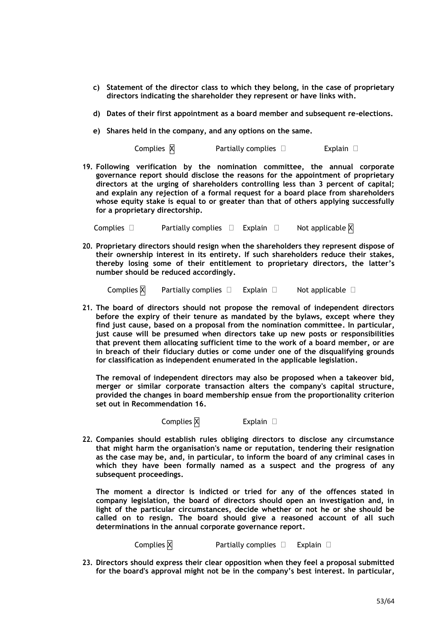- **c) Statement of the director class to which they belong, in the case of proprietary directors indicating the shareholder they represent or have links with.**
- **d) Dates of their first appointment as a board member and subsequent re-elections.**
- **e) Shares held in the company, and any options on the same.**

Complies  $\boxtimes$  Partially complies  $\square$  Explain  $\square$ 

**19. Following verification by the nomination committee, the annual corporate governance report should disclose the reasons for the appointment of proprietary directors at the urging of shareholders controlling less than 3 percent of capital; and explain any rejection of a formal request for a board place from shareholders whose equity stake is equal to or greater than that of others applying successfully for a proprietary directorship.**

Complies  $\Box$  Partially complies  $\Box$  Explain  $\Box$  Not applicable  $\boxtimes$ 

**20. Proprietary directors should resign when the shareholders they represent dispose of their ownership interest in its entirety. If such shareholders reduce their stakes, thereby losing some of their entitlement to proprietary directors, the latter's number should be reduced accordingly.**

Complies  $\boxtimes$  Partially complies  $\Box$  Explain  $\Box$  Not applicable  $\Box$ 

**21. The board of directors should not propose the removal of independent directors before the expiry of their tenure as mandated by the bylaws, except where they find just cause, based on a proposal from the nomination committee. In particular, just cause will be presumed when directors take up new posts or responsibilities that prevent them allocating sufficient time to the work of a board member, or are in breach of their fiduciary duties or come under one of the disqualifying grounds for classification as independent enumerated in the applicable legislation.**

**The removal of independent directors may also be proposed when a takeover bid, merger or similar corporate transaction alters the company's capital structure, provided the changes in board membership ensue from the proportionality criterion set out in Recommendation 16.**

Complies  $\overline{X}$  Explain  $\Box$ 

**22. Companies should establish rules obliging directors to disclose any circumstance that might harm the organisation's name or reputation, tendering their resignation as the case may be, and, in particular, to inform the board of any criminal cases in which they have been formally named as a suspect and the progress of any subsequent proceedings.**

**The moment a director is indicted or tried for any of the offences stated in company legislation, the board of directors should open an investigation and, in light of the particular circumstances, decide whether or not he or she should be called on to resign. The board should give a reasoned account of all such determinations in the annual corporate governance report.**

Complies  $\boxtimes$  Partially complies  $\Box$  Explain  $\Box$ 

**23. Directors should express their clear opposition when they feel a proposal submitted for the board's approval might not be in the company's best interest. In particular,**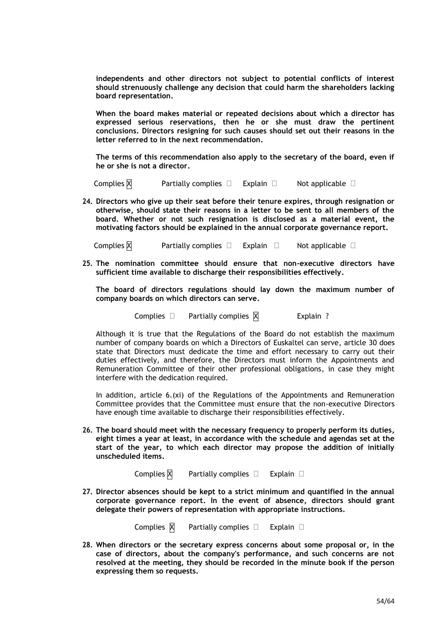**independents and other directors not subject to potential conflicts of interest should strenuously challenge any decision that could harm the shareholders lacking board representation.**

**When the board makes material or repeated decisions about which a director has expressed serious reservations, then he or she must draw the pertinent conclusions. Directors resigning for such causes should set out their reasons in the letter referred to in the next recommendation.**

**The terms of this recommendation also apply to the secretary of the board, even if he or she is not a director.**

Complies  $\boxtimes$  Partially complies  $\Box$  Explain  $\Box$  Not applicable  $\Box$ 

**24. Directors who give up their seat before their tenure expires, through resignation or otherwise, should state their reasons in a letter to be sent to all members of the board. Whether or not such resignation is disclosed as a material event, the motivating factors should be explained in the annual corporate governance report.**

Complies  $\boxtimes$  Partially complies  $\Box$  Explain  $\Box$  Not applicable  $\Box$ 

**25. The nomination committee should ensure that non-executive directors have sufficient time available to discharge their responsibilities effectively.**

**The board of directors regulations should lay down the maximum number of company boards on which directors can serve.**

Complies  $\Box$  Partially complies  $\overline{X}$  Explain ?

Although it is true that the Regulations of the Board do not establish the maximum number of company boards on which a Directors of Euskaltel can serve, article 30 does state that Directors must dedicate the time and effort necessary to carry out their duties effectively, and therefore, the Directors must inform the Appointments and Remuneration Committee of their other professional obligations, in case they might interfere with the dedication required.

In addition, article 6.(xi) of the Regulations of the Appointments and Remuneration Committee provides that the Committee must ensure that the non-executive Directors have enough time available to discharge their responsibilities effectively.

**26. The board should meet with the necessary frequency to properly perform its duties, eight times a year at least, in accordance with the schedule and agendas set at the start of the year, to which each director may propose the addition of initially unscheduled items.**

Complies  $\boxtimes$  Partially complies  $\Box$  Explain  $\Box$ 

**27. Director absences should be kept to a strict minimum and quantified in the annual corporate governance report. In the event of absence, directors should grant delegate their powers of representation with appropriate instructions.**

Complies  $\boxtimes$  Partially complies  $\Box$  Explain  $\Box$ 

**28. When directors or the secretary express concerns about some proposal or, in the case of directors, about the company's performance, and such concerns are not resolved at the meeting, they should be recorded in the minute book if the person expressing them so requests.**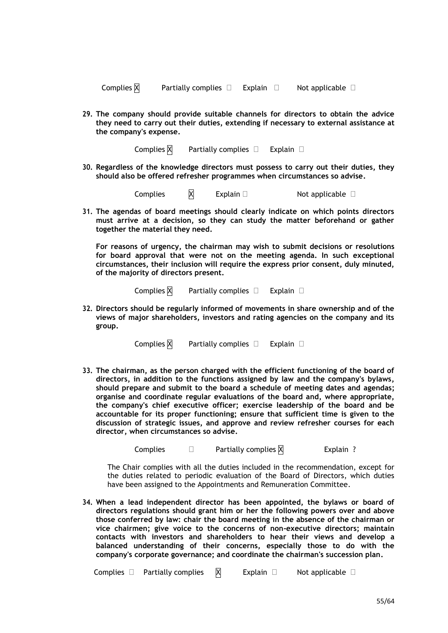| Complies $\boxtimes$ | Partially complies $\Box$ | Explain | Not applicable $\square$ |
|----------------------|---------------------------|---------|--------------------------|
|                      |                           |         |                          |

**29. The company should provide suitable channels for directors to obtain the advice they need to carry out their duties, extending if necessary to external assistance at the company's expense.**

Complies  $\overline{X}$  Partially complies  $\Box$  Explain  $\Box$ 

**30. Regardless of the knowledge directors must possess to carry out their duties, they should also be offered refresher programmes when circumstances so advise.**

Complies  $\boxtimes$  Explain  $\Box$  Not applicable  $\Box$ 

**31. The agendas of board meetings should clearly indicate on which points directors must arrive at a decision, so they can study the matter beforehand or gather together the material they need.**

**For reasons of urgency, the chairman may wish to submit decisions or resolutions for board approval that were not on the meeting agenda. In such exceptional circumstances, their inclusion will require the express prior consent, duly minuted, of the majority of directors present.**

Complies  $X$  Partially complies  $\Box$  Explain  $\Box$ 

**32. Directors should be regularly informed of movements in share ownership and of the views of major shareholders, investors and rating agencies on the company and its group.**

Complies  $\boxtimes$  Partially complies  $\Box$  Explain  $\Box$ 

**33. The chairman, as the person charged with the efficient functioning of the board of directors, in addition to the functions assigned by law and the company's bylaws, should prepare and submit to the board a schedule of meeting dates and agendas; organise and coordinate regular evaluations of the board and, where appropriate, the company's chief executive officer; exercise leadership of the board and be accountable for its proper functioning; ensure that sufficient time is given to the discussion of strategic issues, and approve and review refresher courses for each director, when circumstances so advise.**

Complies  $\square$  Partially complies  $\overline{X}$  Explain ?

The Chair complies with all the duties included in the recommendation, except for the duties related to periodic evaluation of the Board of Directors, which duties have been assigned to the Appointments and Remuneration Committee.

**34. When a lead independent director has been appointed, the bylaws or board of directors regulations should grant him or her the following powers over and above those conferred by law: chair the board meeting in the absence of the chairman or vice chairmen; give voice to the concerns of non-executive directors; maintain contacts with investors and shareholders to hear their views and develop a balanced understanding of their concerns, especially those to do with the company's corporate governance; and coordinate the chairman's succession plan.**

Complies  $\Box$  Partially complies  $\boxtimes$  Explain  $\Box$  Not applicable  $\Box$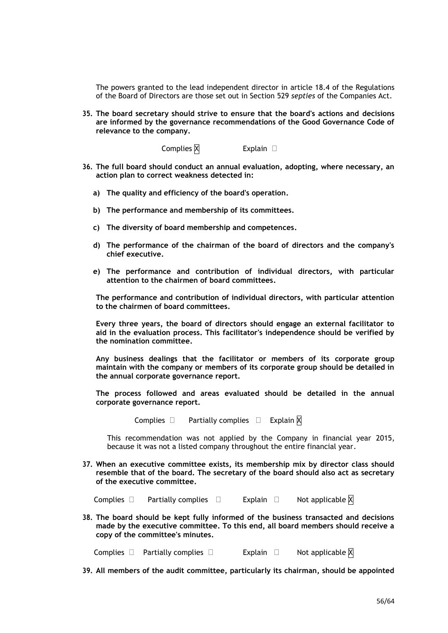The powers granted to the lead independent director in article 18.4 of the Regulations of the Board of Directors are those set out in Section 529 *septies* of the Companies Act.

**35. The board secretary should strive to ensure that the board's actions and decisions are informed by the governance recommendations of the Good Governance Code of relevance to the company.**

Complies  $X$  Explain  $\Box$ 

- **36. The full board should conduct an annual evaluation, adopting, where necessary, an action plan to correct weakness detected in:**
	- **a) The quality and efficiency of the board's operation.**
	- **b) The performance and membership of its committees.**
	- **c) The diversity of board membership and competences.**
	- **d) The performance of the chairman of the board of directors and the company's chief executive.**
	- **e) The performance and contribution of individual directors, with particular attention to the chairmen of board committees.**

**The performance and contribution of individual directors, with particular attention to the chairmen of board committees.**

**Every three years, the board of directors should engage an external facilitator to aid in the evaluation process. This facilitator's independence should be verified by the nomination committee.**

**Any business dealings that the facilitator or members of its corporate group maintain with the company or members of its corporate group should be detailed in the annual corporate governance report.**

**The process followed and areas evaluated should be detailed in the annual corporate governance report.**

Complies  $\Box$  Partially complies  $\Box$  Explain  $\overline{X}$ 

This recommendation was not applied by the Company in financial year 2015, because it was not a listed company throughout the entire financial year.

**37. When an executive committee exists, its membership mix by director class should resemble that of the board. The secretary of the board should also act as secretary of the executive committee.**

Complies  $\Box$  Partially complies  $\Box$  Explain  $\Box$  Not applicable  $\overline{X}$ 

**38. The board should be kept fully informed of the business transacted and decisions made by the executive committee. To this end, all board members should receive a copy of the committee's minutes.**

Complies  $\Box$  Partially complies  $\Box$  Explain  $\Box$  Not applicable  $\boxtimes$ 

**39. All members of the audit committee, particularly its chairman, should be appointed**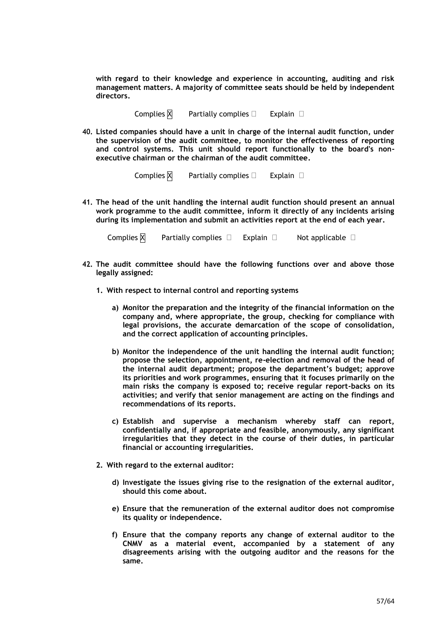**with regard to their knowledge and experience in accounting, auditing and risk management matters. A majority of committee seats should be held by independent directors.**

Complies  $\boxtimes$  Partially complies  $\Box$  Explain  $\Box$ 

**40. Listed companies should have a unit in charge of the internal audit function, under the supervision of the audit committee, to monitor the effectiveness of reporting and control systems. This unit should report functionally to the board's nonexecutive chairman or the chairman of the audit committee.**

Complies  $X$  Partially complies  $\Box$  Explain  $\Box$ 

**41. The head of the unit handling the internal audit function should present an annual work programme to the audit committee, inform it directly of any incidents arising during its implementation and submit an activities report at the end of each year.**

Complies  $\boxtimes$  Partially complies  $\Box$  Explain  $\Box$  Not applicable  $\Box$ 

- **42. The audit committee should have the following functions over and above those legally assigned:**
	- **1. With respect to internal control and reporting systems**
		- **a) Monitor the preparation and the integrity of the financial information on the company and, where appropriate, the group, checking for compliance with legal provisions, the accurate demarcation of the scope of consolidation, and the correct application of accounting principles.**
		- **b) Monitor the independence of the unit handling the internal audit function; propose the selection, appointment, re-election and removal of the head of the internal audit department; propose the department's budget; approve its priorities and work programmes, ensuring that it focuses primarily on the main risks the company is exposed to; receive regular report-backs on its activities; and verify that senior management are acting on the findings and recommendations of its reports.**
		- **c) Establish and supervise a mechanism whereby staff can report, confidentially and, if appropriate and feasible, anonymously, any significant irregularities that they detect in the course of their duties, in particular financial or accounting irregularities.**
	- **2. With regard to the external auditor:**
		- **d) Investigate the issues giving rise to the resignation of the external auditor, should this come about.**
		- **e) Ensure that the remuneration of the external auditor does not compromise its quality or independence.**
		- **f) Ensure that the company reports any change of external auditor to the CNMV as a material event, accompanied by a statement of any disagreements arising with the outgoing auditor and the reasons for the same.**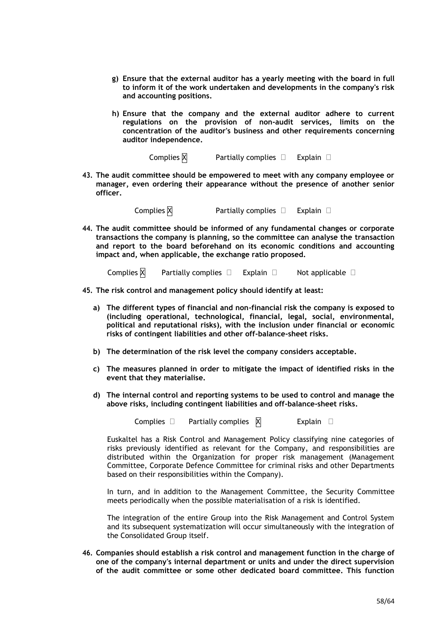- **g) Ensure that the external auditor has a yearly meeting with the board in full to inform it of the work undertaken and developments in the company's risk and accounting positions.**
- **h) Ensure that the company and the external auditor adhere to current regulations on the provision of non-audit services, limits on the concentration of the auditor's business and other requirements concerning auditor independence.**

Complies  $\boxtimes$  Partially complies  $\Box$  Explain  $\Box$ 

**43. The audit committee should be empowered to meet with any company employee or manager, even ordering their appearance without the presence of another senior officer.**

Complies  $\boxtimes$  Partially complies  $\Box$  Explain  $\Box$ 

**44. The audit committee should be informed of any fundamental changes or corporate transactions the company is planning, so the committee can analyse the transaction and report to the board beforehand on its economic conditions and accounting impact and, when applicable, the exchange ratio proposed.**

Complies  $\boxtimes$  Partially complies  $\Box$  Explain  $\Box$  Not applicable  $\Box$ 

- **45. The risk control and management policy should identify at least:**
	- **a) The different types of financial and non-financial risk the company is exposed to (including operational, technological, financial, legal, social, environmental, political and reputational risks), with the inclusion under financial or economic risks of contingent liabilities and other off-balance-sheet risks.**
	- **b) The determination of the risk level the company considers acceptable.**
	- **c) The measures planned in order to mitigate the impact of identified risks in the event that they materialise.**
	- **d) The internal control and reporting systems to be used to control and manage the above risks, including contingent liabilities and off-balance-sheet risks.**

Complies  $\Box$  Partially complies  $\boxtimes$  Explain  $\Box$ 

Euskaltel has a Risk Control and Management Policy classifying nine categories of risks previously identified as relevant for the Company, and responsibilities are distributed within the Organization for proper risk management (Management Committee, Corporate Defence Committee for criminal risks and other Departments based on their responsibilities within the Company).

In turn, and in addition to the Management Committee, the Security Committee meets periodically when the possible materialisation of a risk is identified.

The integration of the entire Group into the Risk Management and Control System and its subsequent systematization will occur simultaneously with the integration of the Consolidated Group itself.

**46. Companies should establish a risk control and management function in the charge of one of the company's internal department or units and under the direct supervision of the audit committee or some other dedicated board committee. This function**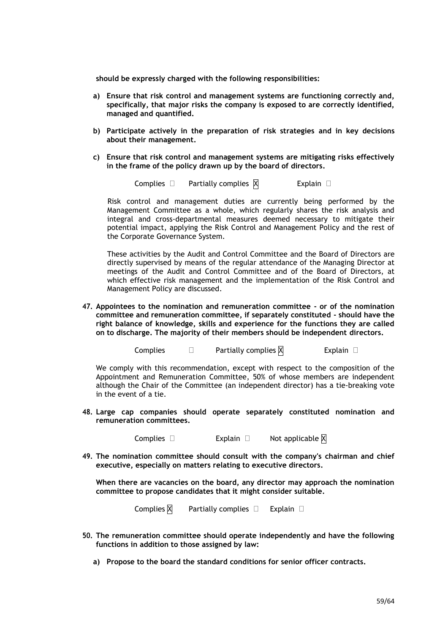**should be expressly charged with the following responsibilities:**

- **a) Ensure that risk control and management systems are functioning correctly and, specifically, that major risks the company is exposed to are correctly identified, managed and quantified.**
- **b) Participate actively in the preparation of risk strategies and in key decisions about their management.**
- **c) Ensure that risk control and management systems are mitigating risks effectively in the frame of the policy drawn up by the board of directors.**

Complies  $\Box$  Partially complies  $\boxtimes$  Explain  $\Box$ 

Risk control and management duties are currently being performed by the Management Committee as a whole, which regularly shares the risk analysis and integral and cross-departmental measures deemed necessary to mitigate their potential impact, applying the Risk Control and Management Policy and the rest of the Corporate Governance System.

These activities by the Audit and Control Committee and the Board of Directors are directly supervised by means of the regular attendance of the Managing Director at meetings of the Audit and Control Committee and of the Board of Directors, at which effective risk management and the implementation of the Risk Control and Management Policy are discussed.

**47. Appointees to the nomination and remuneration committee - or of the nomination committee and remuneration committee, if separately constituted - should have the right balance of knowledge, skills and experience for the functions they are called on to discharge. The majority of their members should be independent directors.**

Complies  $\square$  Partially complies  $\boxtimes$  Partially complies  $\boxtimes$ 

We comply with this recommendation, except with respect to the composition of the Appointment and Remuneration Committee, 50% of whose members are independent although the Chair of the Committee (an independent director) has a tie-breaking vote in the event of a tie.

**48. Large cap companies should operate separately constituted nomination and remuneration committees.**

Complies  $\square$  Explain  $\square$  Not applicable  $\times$ 

**49. The nomination committee should consult with the company's chairman and chief executive, especially on matters relating to executive directors.**

**When there are vacancies on the board, any director may approach the nomination committee to propose candidates that it might consider suitable.**

Complies  $\boxtimes$  Partially complies  $\Box$  Explain  $\Box$ 

- **50. The remuneration committee should operate independently and have the following functions in addition to those assigned by law:**
	- **a) Propose to the board the standard conditions for senior officer contracts.**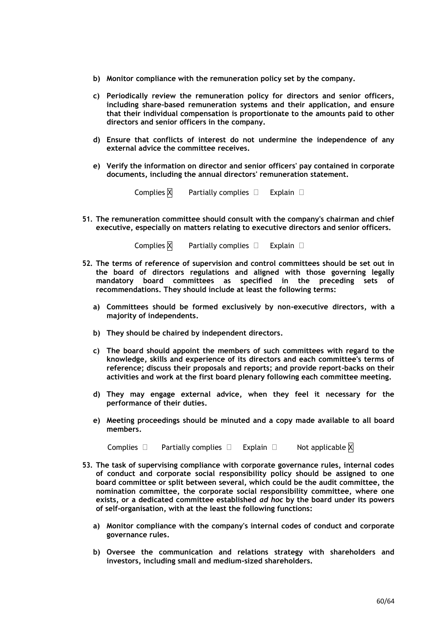- **b) Monitor compliance with the remuneration policy set by the company.**
- **c) Periodically review the remuneration policy for directors and senior officers, including share-based remuneration systems and their application, and ensure that their individual compensation is proportionate to the amounts paid to other directors and senior officers in the company.**
- **d) Ensure that conflicts of interest do not undermine the independence of any external advice the committee receives.**
- **e) Verify the information on director and senior officers' pay contained in corporate documents, including the annual directors' remuneration statement.**

Complies  $\boxtimes$  Partially complies  $\Box$  Explain  $\Box$ 

**51. The remuneration committee should consult with the company's chairman and chief executive, especially on matters relating to executive directors and senior officers.**

Complies  $\overline{X}$  Partially complies  $\Box$  Explain  $\Box$ 

- **52. The terms of reference of supervision and control committees should be set out in the board of directors regulations and aligned with those governing legally mandatory board committees as specified in the preceding sets of recommendations. They should include at least the following terms:**
	- **a) Committees should be formed exclusively by non-executive directors, with a majority of independents.**
	- **b) They should be chaired by independent directors.**
	- **c) The board should appoint the members of such committees with regard to the knowledge, skills and experience of its directors and each committee's terms of reference; discuss their proposals and reports; and provide report-backs on their activities and work at the first board plenary following each committee meeting.**
	- **d) They may engage external advice, when they feel it necessary for the performance of their duties.**
	- **e) Meeting proceedings should be minuted and a copy made available to all board members.**

Complies  $\Box$  Partially complies  $\Box$  Explain  $\Box$  Not applicable  $\boxtimes$ 

- **53. The task of supervising compliance with corporate governance rules, internal codes of conduct and corporate social responsibility policy should be assigned to one board committee or split between several, which could be the audit committee, the nomination committee, the corporate social responsibility committee, where one exists, or a dedicated committee established** *ad hoc* **by the board under its powers of self-organisation, with at the least the following functions:**
	- **a) Monitor compliance with the company's internal codes of conduct and corporate governance rules.**
	- **b) Oversee the communication and relations strategy with shareholders and investors, including small and medium-sized shareholders.**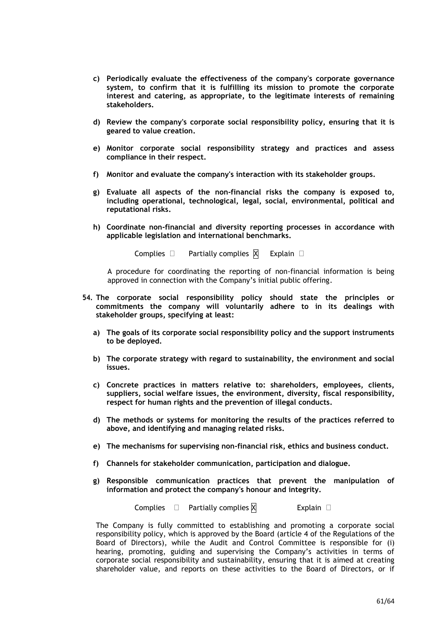- **c) Periodically evaluate the effectiveness of the company's corporate governance system, to confirm that it is fulfilling its mission to promote the corporate interest and catering, as appropriate, to the legitimate interests of remaining stakeholders.**
- **d) Review the company's corporate social responsibility policy, ensuring that it is geared to value creation.**
- **e) Monitor corporate social responsibility strategy and practices and assess compliance in their respect.**
- **f) Monitor and evaluate the company's interaction with its stakeholder groups.**
- **g) Evaluate all aspects of the non-financial risks the company is exposed to, including operational, technological, legal, social, environmental, political and reputational risks.**
- **h) Coordinate non-financial and diversity reporting processes in accordance with applicable legislation and international benchmarks.**

```
Complies \Box Partially complies \boxtimes Explain \Box
```
A procedure for coordinating the reporting of non-financial information is being approved in connection with the Company's initial public offering.

- **54. The corporate social responsibility policy should state the principles or commitments the company will voluntarily adhere to in its dealings with stakeholder groups, specifying at least:**
	- **a) The goals of its corporate social responsibility policy and the support instruments to be deployed.**
	- **b) The corporate strategy with regard to sustainability, the environment and social issues.**
	- **c) Concrete practices in matters relative to: shareholders, employees, clients, suppliers, social welfare issues, the environment, diversity, fiscal responsibility, respect for human rights and the prevention of illegal conducts.**
	- **d) The methods or systems for monitoring the results of the practices referred to above, and identifying and managing related risks.**
	- **e) The mechanisms for supervising non-financial risk, ethics and business conduct.**
	- **f) Channels for stakeholder communication, participation and dialogue.**
	- **g) Responsible communication practices that prevent the manipulation of information and protect the company's honour and integrity.**

Complies  $\Box$  Partially complies  $\overline{X}$  Explain  $\Box$ 

The Company is fully committed to establishing and promoting a corporate social responsibility policy, which is approved by the Board (article 4 of the Regulations of the Board of Directors), while the Audit and Control Committee is responsible for (i) hearing, promoting, guiding and supervising the Company's activities in terms of corporate social responsibility and sustainability, ensuring that it is aimed at creating shareholder value, and reports on these activities to the Board of Directors, or if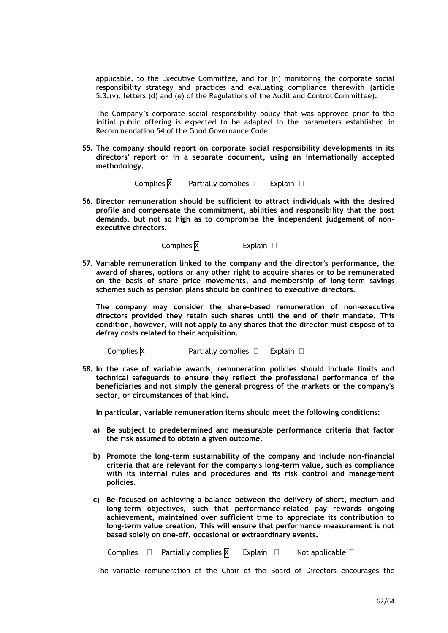applicable, to the Executive Committee, and for (ii) monitoring the corporate social responsibility strategy and practices and evaluating compliance therewith (article 5.3.(v). letters (d) and (e) of the Regulations of the Audit and Control Committee).

The Company's corporate social responsibility policy that was approved prior to the initial public offering is expected to be adapted to the parameters established in Recommendation 54 of the Good Governance Code.

**55. The company should report on corporate social responsibility developments in its directors' report or in a separate document, using an internationally accepted methodology.**

Complies  $X$  Partially complies  $\Box$  Explain  $\Box$ 

**56. Director remuneration should be sufficient to attract individuals with the desired profile and compensate the commitment, abilities and responsibility that the post demands, but not so high as to compromise the independent judgement of nonexecutive directors.**

Complies  $\boxtimes$  Explain  $\Box$ 

**57. Variable remuneration linked to the company and the director's performance, the award of shares, options or any other right to acquire shares or to be remunerated on the basis of share price movements, and membership of long-term savings schemes such as pension plans should be confined to executive directors.**

**The company may consider the share-based remuneration of non-executive directors provided they retain such shares until the end of their mandate. This condition, however, will not apply to any shares that the director must dispose of to defray costs related to their acquisition.**

Complies  $\overline{X}$  Partially complies  $\Box$  Explain  $\Box$ 

**58. In the case of variable awards, remuneration policies should include limits and technical safeguards to ensure they reflect the professional performance of the beneficiaries and not simply the general progress of the markets or the company's sector, or circumstances of that kind.**

**In particular, variable remuneration items should meet the following conditions:**

- **a) Be subject to predetermined and measurable performance criteria that factor the risk assumed to obtain a given outcome.**
- **b) Promote the long-term sustainability of the company and include non-financial criteria that are relevant for the company's long-term value, such as compliance with its internal rules and procedures and its risk control and management policies.**
- **c) Be focused on achieving a balance between the delivery of short, medium and long-term objectives, such that performance-related pay rewards ongoing achievement, maintained over sufficient time to appreciate its contribution to long-term value creation. This will ensure that performance measurement is not based solely on one-off, occasional or extraordinary events.**

Complies  $\square$  Partially complies  $\boxtimes$  Explain  $\square$  Not applicable  $\square$ 

The variable remuneration of the Chair of the Board of Directors encourages the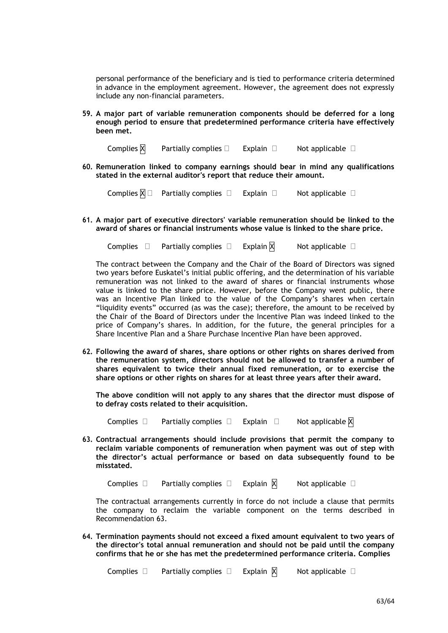personal performance of the beneficiary and is tied to performance criteria determined in advance in the employment agreement. However, the agreement does not expressly include any non-financial parameters.

**59. A major part of variable remuneration components should be deferred for a long enough period to ensure that predetermined performance criteria have effectively been met.**

Complies  $\boxtimes$  Partially complies  $\Box$  Explain  $\Box$  Not applicable  $\Box$ 

**60. Remuneration linked to company earnings should bear in mind any qualifications stated in the external auditor's report that reduce their amount.**

Complies  $\boxtimes \Box$  Partially complies  $\Box$  Explain  $\Box$  Not applicable  $\Box$ 

**61. A major part of executive directors' variable remuneration should be linked to the award of shares or financial instruments whose value is linked to the share price.**

Complies  $\Box$  Partially complies  $\Box$  Explain  $\boxtimes$  Not applicable  $\Box$ 

The contract between the Company and the Chair of the Board of Directors was signed two years before Euskatel's initial public offering, and the determination of his variable remuneration was not linked to the award of shares or financial instruments whose value is linked to the share price. However, before the Company went public, there was an Incentive Plan linked to the value of the Company's shares when certain "liquidity events" occurred (as was the case); therefore, the amount to be received by the Chair of the Board of Directors under the Incentive Plan was indeed linked to the price of Company's shares. In addition, for the future, the general principles for a Share Incentive Plan and a Share Purchase Incentive Plan have been approved.

**62. Following the award of shares, share options or other rights on shares derived from the remuneration system, directors should not be allowed to transfer a number of shares equivalent to twice their annual fixed remuneration, or to exercise the share options or other rights on shares for at least three years after their award.**

**The above condition will not apply to any shares that the director must dispose of to defray costs related to their acquisition.**

Complies  $\Box$  Partially complies  $\Box$  Explain  $\Box$  Not applicable  $\overline{X}$ 

**63. Contractual arrangements should include provisions that permit the company to reclaim variable components of remuneration when payment was out of step with the director's actual performance or based on data subsequently found to be misstated.** 

Complies  $\Box$  Partially complies  $\Box$  Explain  $\boxtimes$  Not applicable  $\Box$ 

The contractual arrangements currently in force do not include a clause that permits the company to reclaim the variable component on the terms described in Recommendation 63.

**64. Termination payments should not exceed a fixed amount equivalent to two years of the director's total annual remuneration and should not be paid until the company confirms that he or she has met the predetermined performance criteria. Complies**

Complies  $\Box$  Partially complies  $\Box$  Explain  $\boxtimes$  Not applicable  $\Box$